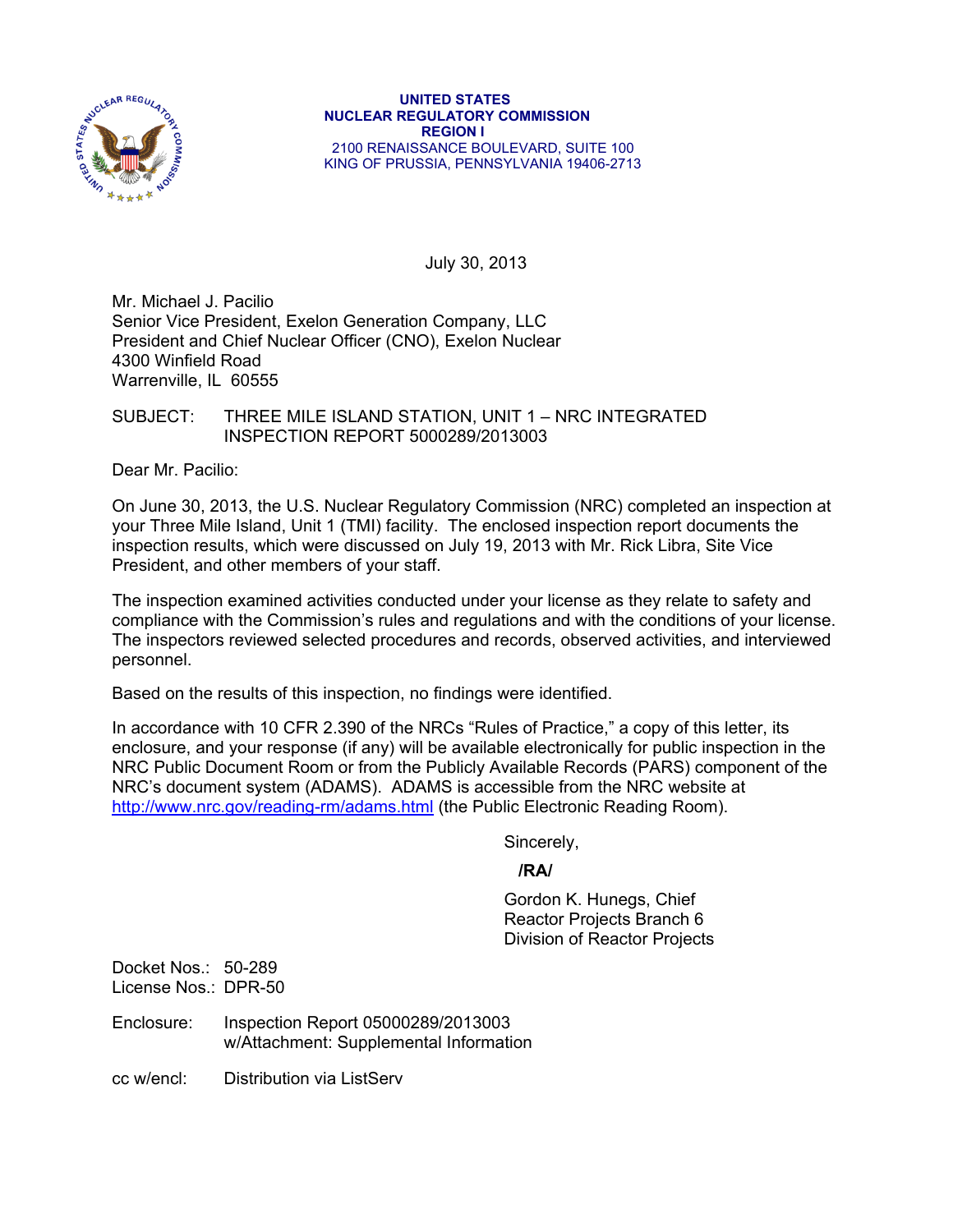

 **UNITED STATES NUCLEAR REGULATORY COMMISSION REGION I**  2100 RENAISSANCE BOULEVARD, SUITE 100 KING OF PRUSSIA, PENNSYLVANIA 19406-2713

July 30, 2013

Mr. Michael J. Pacilio Senior Vice President, Exelon Generation Company, LLC President and Chief Nuclear Officer (CNO), Exelon Nuclear 4300 Winfield Road Warrenville, IL 60555

# SUBJECT: THREE MILE ISLAND STATION, UNIT 1 – NRC INTEGRATED INSPECTION REPORT 5000289/2013003

Dear Mr. Pacilio:

On June 30, 2013, the U.S. Nuclear Regulatory Commission (NRC) completed an inspection at your Three Mile Island, Unit 1 (TMI) facility. The enclosed inspection report documents the inspection results, which were discussed on July 19, 2013 with Mr. Rick Libra, Site Vice President, and other members of your staff.

The inspection examined activities conducted under your license as they relate to safety and compliance with the Commission's rules and regulations and with the conditions of your license. The inspectors reviewed selected procedures and records, observed activities, and interviewed personnel.

Based on the results of this inspection, no findings were identified.

In accordance with 10 CFR 2.390 of the NRCs "Rules of Practice," a copy of this letter, its enclosure, and your response (if any) will be available electronically for public inspection in the NRC Public Document Room or from the Publicly Available Records (PARS) component of the NRC's document system (ADAMS). ADAMS is accessible from the NRC website at http://www.nrc.gov/reading-rm/adams.html (the Public Electronic Reading Room).

Sincerely,

 **/RA/** 

Gordon K. Hunegs, Chief Reactor Projects Branch 6 Division of Reactor Projects

Docket Nos.: 50-289 License Nos.: DPR-50

Enclosure: Inspection Report 05000289/2013003 w/Attachment: Supplemental Information

cc w/encl: Distribution via ListServ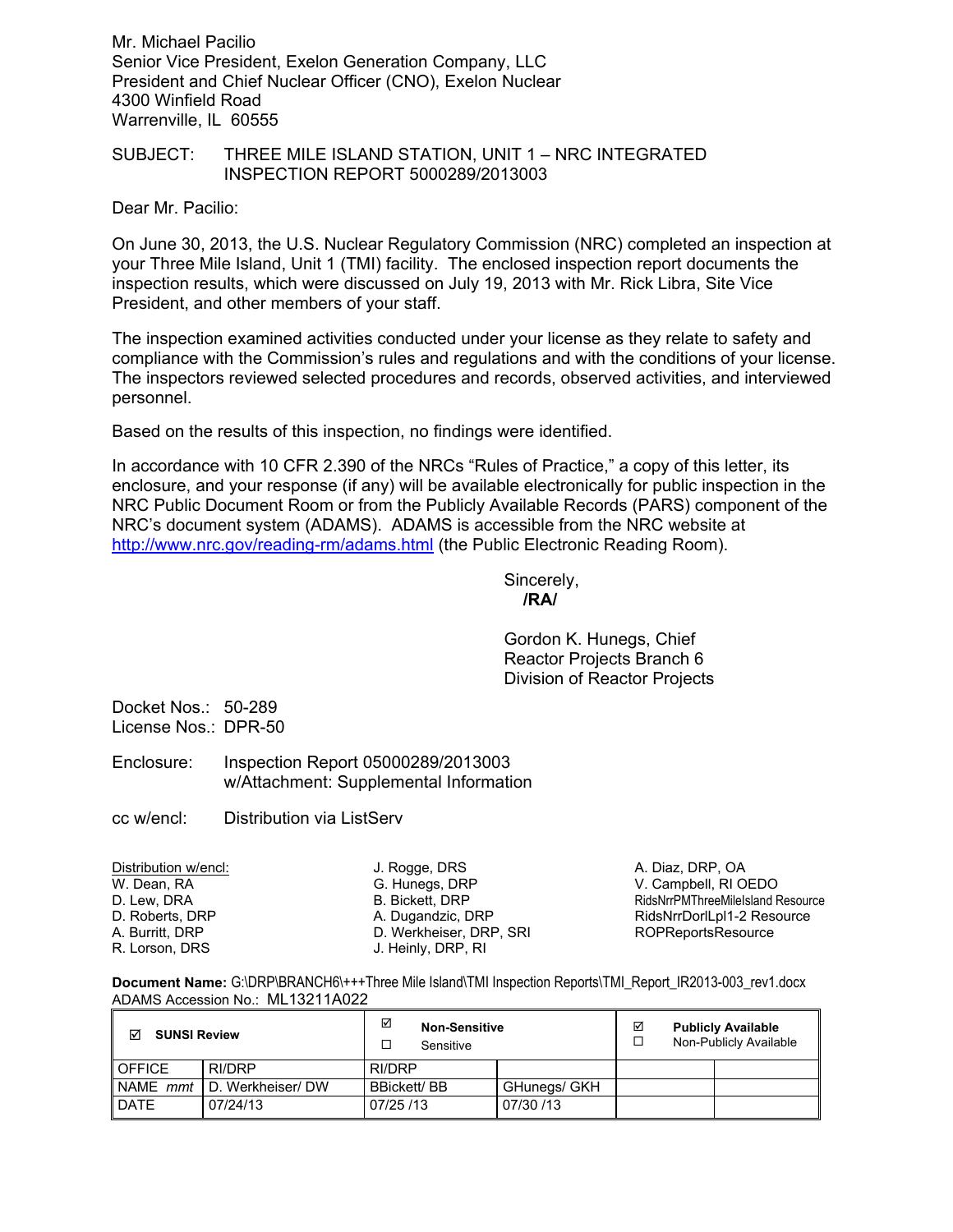Mr. Michael Pacilio Senior Vice President, Exelon Generation Company, LLC President and Chief Nuclear Officer (CNO), Exelon Nuclear 4300 Winfield Road Warrenville, IL 60555

SUBJECT: THREE MILE ISLAND STATION, UNIT 1 – NRC INTEGRATED INSPECTION REPORT 5000289/2013003

Dear Mr. Pacilio:

On June 30, 2013, the U.S. Nuclear Regulatory Commission (NRC) completed an inspection at your Three Mile Island, Unit 1 (TMI) facility. The enclosed inspection report documents the inspection results, which were discussed on July 19, 2013 with Mr. Rick Libra, Site Vice President, and other members of your staff.

The inspection examined activities conducted under your license as they relate to safety and compliance with the Commission's rules and regulations and with the conditions of your license. The inspectors reviewed selected procedures and records, observed activities, and interviewed personnel.

Based on the results of this inspection, no findings were identified.

In accordance with 10 CFR 2.390 of the NRCs "Rules of Practice," a copy of this letter, its enclosure, and your response (if any) will be available electronically for public inspection in the NRC Public Document Room or from the Publicly Available Records (PARS) component of the NRC's document system (ADAMS). ADAMS is accessible from the NRC website at http://www.nrc.gov/reading-rm/adams.html (the Public Electronic Reading Room).

> Sincerely, **/RA/**

Gordon K. Hunegs, Chief Reactor Projects Branch 6 Division of Reactor Projects

Docket Nos.: 50-289 License Nos.: DPR-50

Enclosure: Inspection Report 05000289/2013003 w/Attachment: Supplemental Information

cc w/encl: Distribution via ListServ

| Distribution w/encl: |
|----------------------|
| W. Dean, RA          |
| D. Lew. DRA          |
| D. Roberts, DRP      |
| A. Burritt, DRP      |
| R. Lorson, DRS       |

J. Rogge, DRS G. Hunegs, DRP B. Bickett, DRP A. Dugandzic, DRP D. Werkheiser, DRP, SRI J. Heinly, DRP, RI

A. Diaz, DRP, OA V. Campbell, RI OEDO RidsNrrPMThreeMileIsland Resource RidsNrrDorlLpl1-2 Resource ROPReportsResource

**Document Name: G:\DRP\BRANCH6\+++Three Mile Island\TMI Inspection Reports\TMI\_Report IR2013-003\_rev1.docx** ADAMS Accession No.: ML13211A022

| ⊽<br><b>SUNSI Review</b> |                            | ☑<br><b>Non-Sensitive</b><br>Sensitive |  | ☑            | <b>Publicly Available</b><br>Non-Publicly Available |  |
|--------------------------|----------------------------|----------------------------------------|--|--------------|-----------------------------------------------------|--|
| <b>OFFICE</b>            | RI/DRP                     | RI/DRP                                 |  |              |                                                     |  |
|                          | NAME mmt ID. Werkheiser/DW | <b>BBickett/BB</b>                     |  | GHunegs/ GKH |                                                     |  |
| <b>DATE</b>              | 07/24/13                   | 07/25/13                               |  | 07/30 /13    |                                                     |  |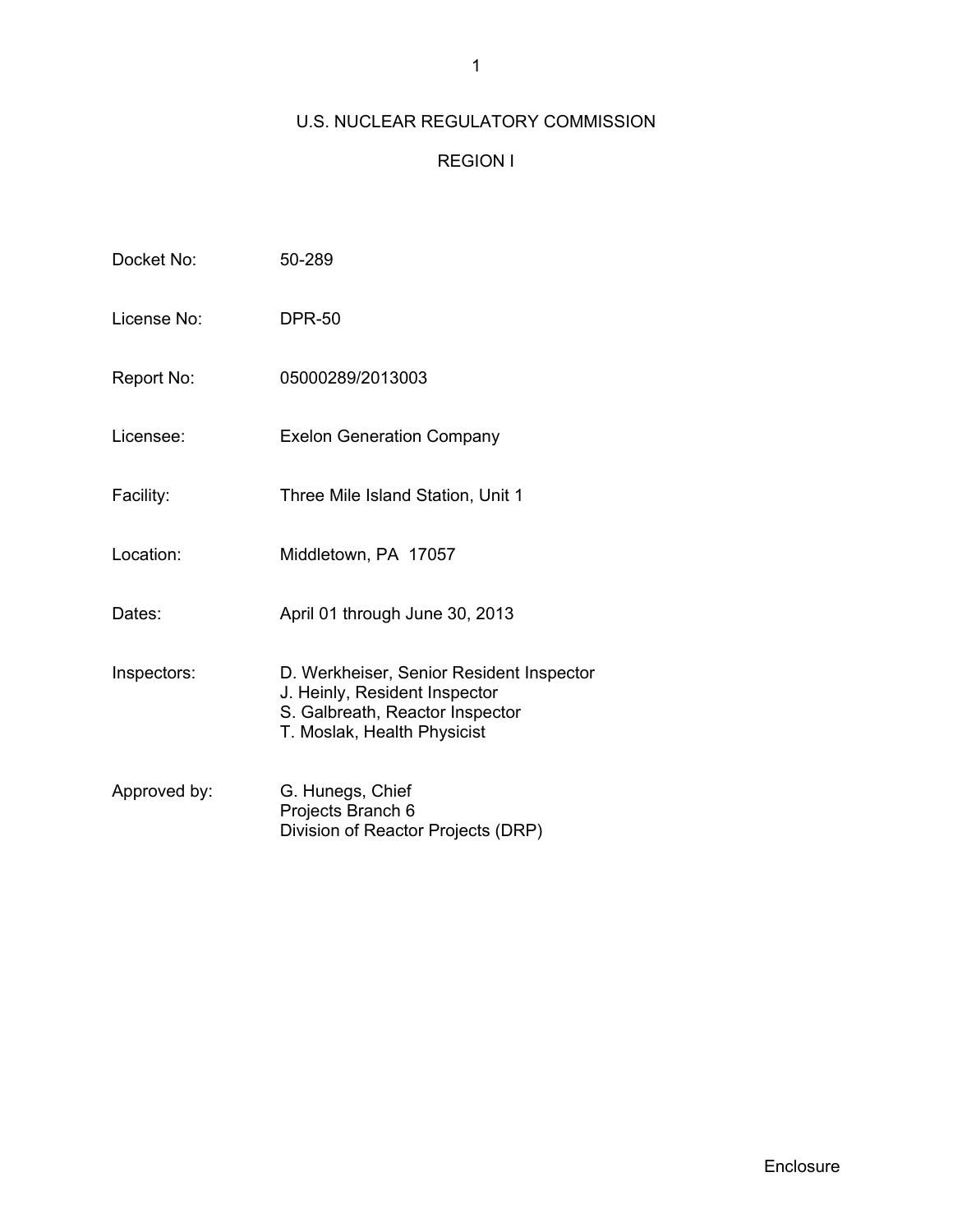# U.S. NUCLEAR REGULATORY COMMISSION

# REGION I

| Docket No:   | 50-289                                                                                                                                      |
|--------------|---------------------------------------------------------------------------------------------------------------------------------------------|
| License No:  | <b>DPR-50</b>                                                                                                                               |
| Report No:   | 05000289/2013003                                                                                                                            |
| Licensee:    | <b>Exelon Generation Company</b>                                                                                                            |
| Facility:    | Three Mile Island Station, Unit 1                                                                                                           |
| Location:    | Middletown, PA 17057                                                                                                                        |
| Dates:       | April 01 through June 30, 2013                                                                                                              |
| Inspectors:  | D. Werkheiser, Senior Resident Inspector<br>J. Heinly, Resident Inspector<br>S. Galbreath, Reactor Inspector<br>T. Moslak, Health Physicist |
| Approved by: | G. Hunegs, Chief<br>Projects Branch 6<br>Division of Reactor Projects (DRP)                                                                 |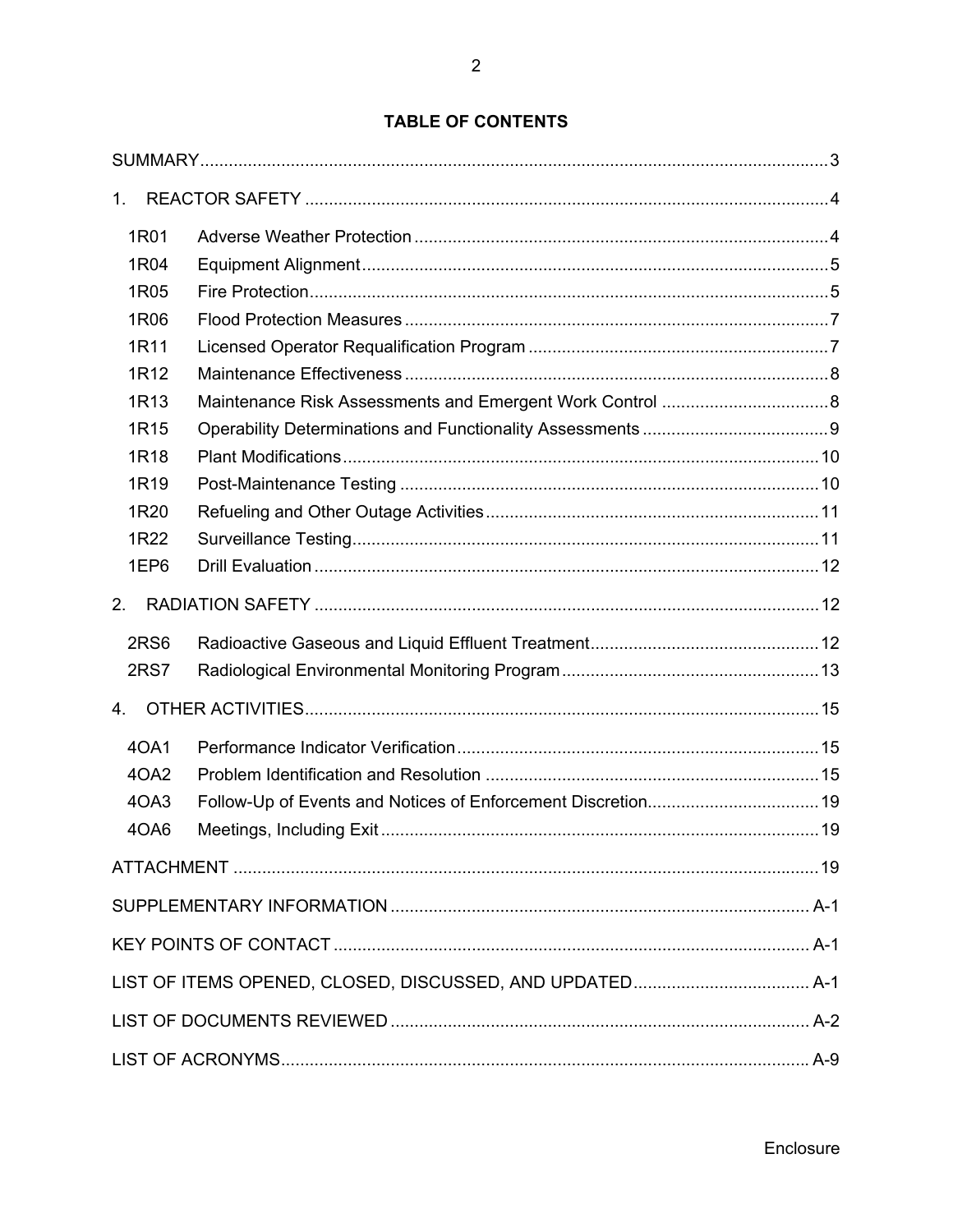# **TABLE OF CONTENTS**

| 1.               |  |  |  |  |  |  |  |
|------------------|--|--|--|--|--|--|--|
| 1R01             |  |  |  |  |  |  |  |
| 1R04             |  |  |  |  |  |  |  |
| 1R05             |  |  |  |  |  |  |  |
| 1R06             |  |  |  |  |  |  |  |
| 1R11             |  |  |  |  |  |  |  |
| 1R12             |  |  |  |  |  |  |  |
| 1R13             |  |  |  |  |  |  |  |
| 1R15             |  |  |  |  |  |  |  |
| 1R <sub>18</sub> |  |  |  |  |  |  |  |
| 1R <sub>19</sub> |  |  |  |  |  |  |  |
| 1R20             |  |  |  |  |  |  |  |
| 1R22             |  |  |  |  |  |  |  |
| 1EP6             |  |  |  |  |  |  |  |
| 2.               |  |  |  |  |  |  |  |
| 2RS <sub>6</sub> |  |  |  |  |  |  |  |
| <b>2RS7</b>      |  |  |  |  |  |  |  |
| 4.               |  |  |  |  |  |  |  |
| 40A1             |  |  |  |  |  |  |  |
| 4OA2             |  |  |  |  |  |  |  |
| 4OA3             |  |  |  |  |  |  |  |
| 4OA6             |  |  |  |  |  |  |  |
|                  |  |  |  |  |  |  |  |
|                  |  |  |  |  |  |  |  |
|                  |  |  |  |  |  |  |  |
|                  |  |  |  |  |  |  |  |
|                  |  |  |  |  |  |  |  |
|                  |  |  |  |  |  |  |  |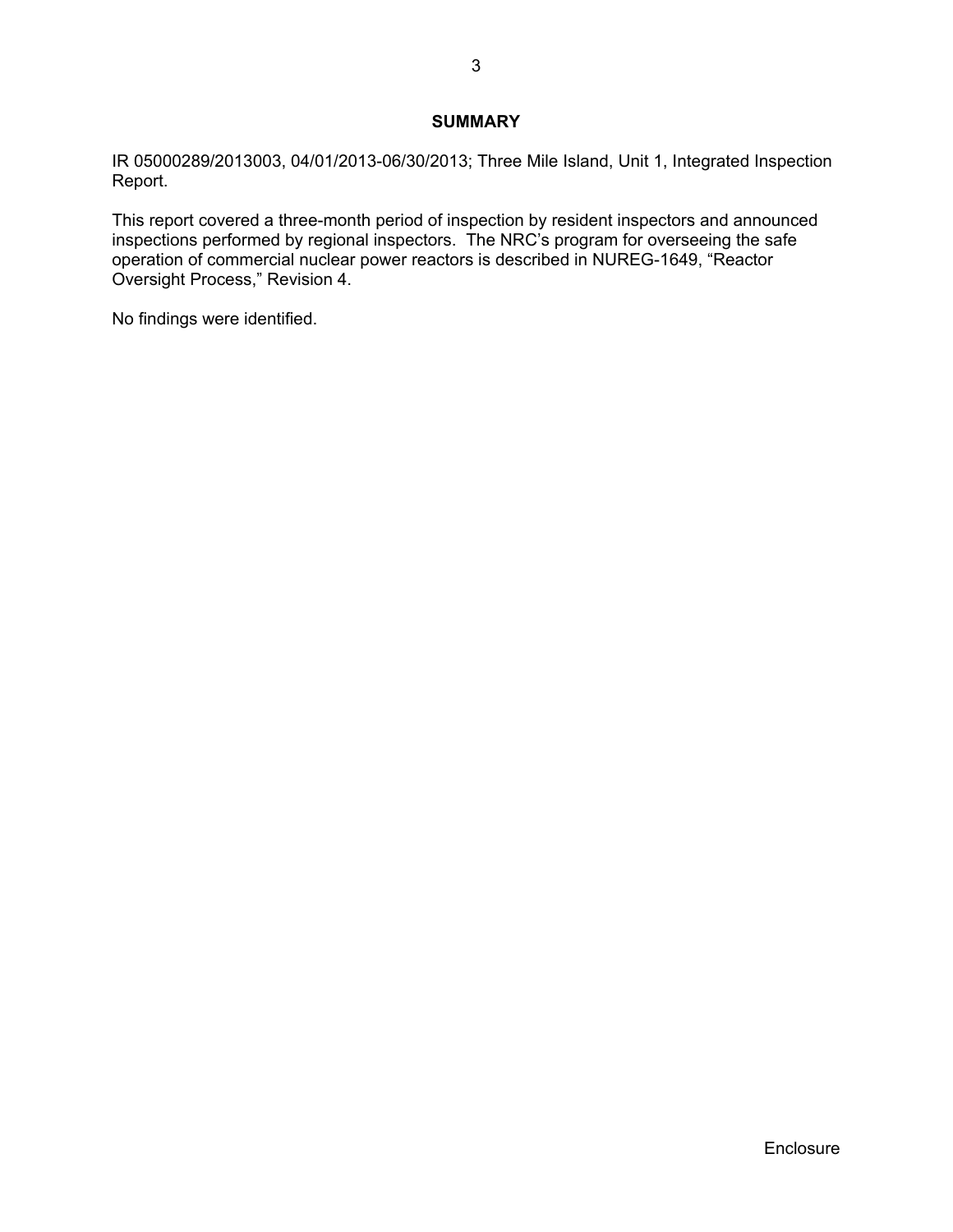# **SUMMARY**

IR 05000289/2013003, 04/01/2013-06/30/2013; Three Mile Island, Unit 1, Integrated Inspection Report.

This report covered a three-month period of inspection by resident inspectors and announced inspections performed by regional inspectors. The NRC's program for overseeing the safe operation of commercial nuclear power reactors is described in NUREG-1649, "Reactor Oversight Process," Revision 4.

No findings were identified.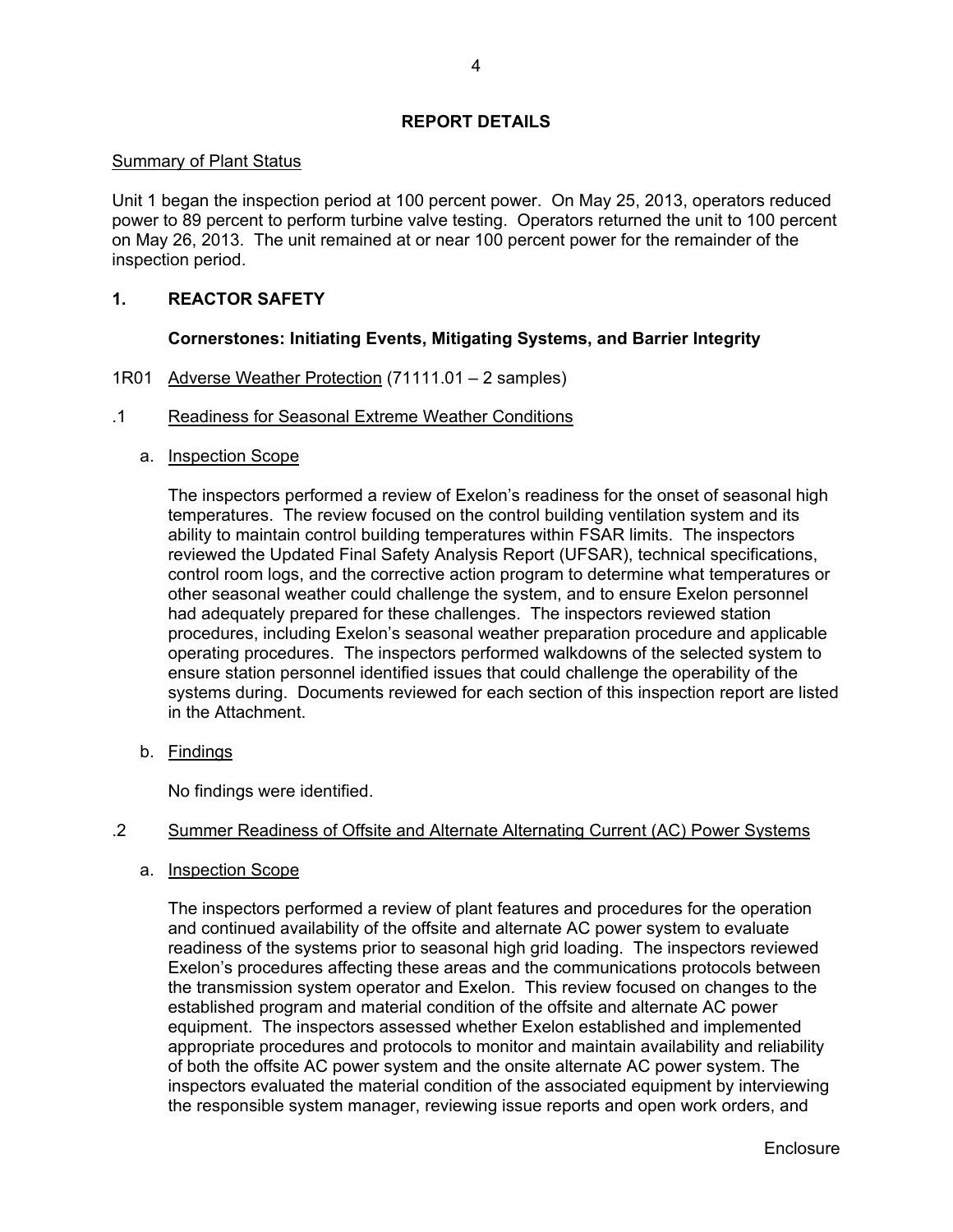# **REPORT DETAILS**

### Summary of Plant Status

Unit 1 began the inspection period at 100 percent power. On May 25, 2013, operators reduced power to 89 percent to perform turbine valve testing. Operators returned the unit to 100 percent on May 26, 2013. The unit remained at or near 100 percent power for the remainder of the inspection period.

# **1. REACTOR SAFETY**

# **Cornerstones: Initiating Events, Mitigating Systems, and Barrier Integrity**

1R01 Adverse Weather Protection (71111.01 – 2 samples)

## .1 Readiness for Seasonal Extreme Weather Conditions

a. Inspection Scope

The inspectors performed a review of Exelon's readiness for the onset of seasonal high temperatures. The review focused on the control building ventilation system and its ability to maintain control building temperatures within FSAR limits. The inspectors reviewed the Updated Final Safety Analysis Report (UFSAR), technical specifications, control room logs, and the corrective action program to determine what temperatures or other seasonal weather could challenge the system, and to ensure Exelon personnel had adequately prepared for these challenges. The inspectors reviewed station procedures, including Exelon's seasonal weather preparation procedure and applicable operating procedures. The inspectors performed walkdowns of the selected system to ensure station personnel identified issues that could challenge the operability of the systems during. Documents reviewed for each section of this inspection report are listed in the Attachment.

b. Findings

No findings were identified.

#### .2 Summer Readiness of Offsite and Alternate Alternating Current (AC) Power Systems

a. Inspection Scope

The inspectors performed a review of plant features and procedures for the operation and continued availability of the offsite and alternate AC power system to evaluate readiness of the systems prior to seasonal high grid loading. The inspectors reviewed Exelon's procedures affecting these areas and the communications protocols between the transmission system operator and Exelon. This review focused on changes to the established program and material condition of the offsite and alternate AC power equipment. The inspectors assessed whether Exelon established and implemented appropriate procedures and protocols to monitor and maintain availability and reliability of both the offsite AC power system and the onsite alternate AC power system. The inspectors evaluated the material condition of the associated equipment by interviewing the responsible system manager, reviewing issue reports and open work orders, and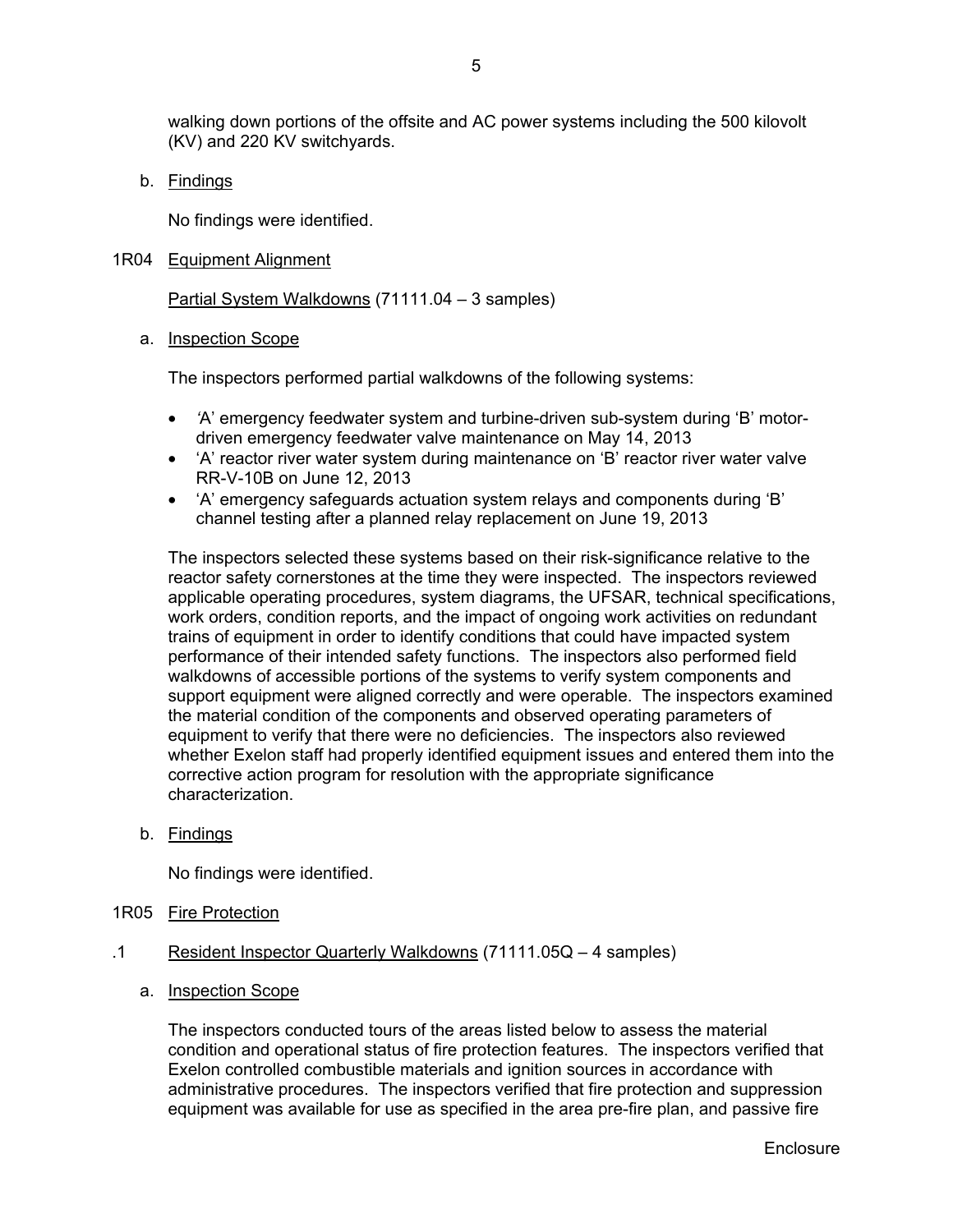walking down portions of the offsite and AC power systems including the 500 kilovolt (KV) and 220 KV switchyards.

b. Findings

No findings were identified.

#### 1R04 Equipment Alignment

Partial System Walkdowns (71111.04 – 3 samples)

a. Inspection Scope

The inspectors performed partial walkdowns of the following systems:

- *'*A' emergency feedwater system and turbine-driven sub-system during 'B' motordriven emergency feedwater valve maintenance on May 14, 2013
- 'A' reactor river water system during maintenance on 'B' reactor river water valve RR-V-10B on June 12, 2013
- 'A' emergency safeguards actuation system relays and components during 'B' channel testing after a planned relay replacement on June 19, 2013

The inspectors selected these systems based on their risk-significance relative to the reactor safety cornerstones at the time they were inspected. The inspectors reviewed applicable operating procedures, system diagrams, the UFSAR, technical specifications, work orders, condition reports, and the impact of ongoing work activities on redundant trains of equipment in order to identify conditions that could have impacted system performance of their intended safety functions. The inspectors also performed field walkdowns of accessible portions of the systems to verify system components and support equipment were aligned correctly and were operable. The inspectors examined the material condition of the components and observed operating parameters of equipment to verify that there were no deficiencies. The inspectors also reviewed whether Exelon staff had properly identified equipment issues and entered them into the corrective action program for resolution with the appropriate significance characterization.

b. Findings

No findings were identified.

- 1R05 Fire Protection
- .1 Resident Inspector Quarterly Walkdowns (71111.05Q 4 samples)
	- a. Inspection Scope

The inspectors conducted tours of the areas listed below to assess the material condition and operational status of fire protection features. The inspectors verified that Exelon controlled combustible materials and ignition sources in accordance with administrative procedures. The inspectors verified that fire protection and suppression equipment was available for use as specified in the area pre-fire plan, and passive fire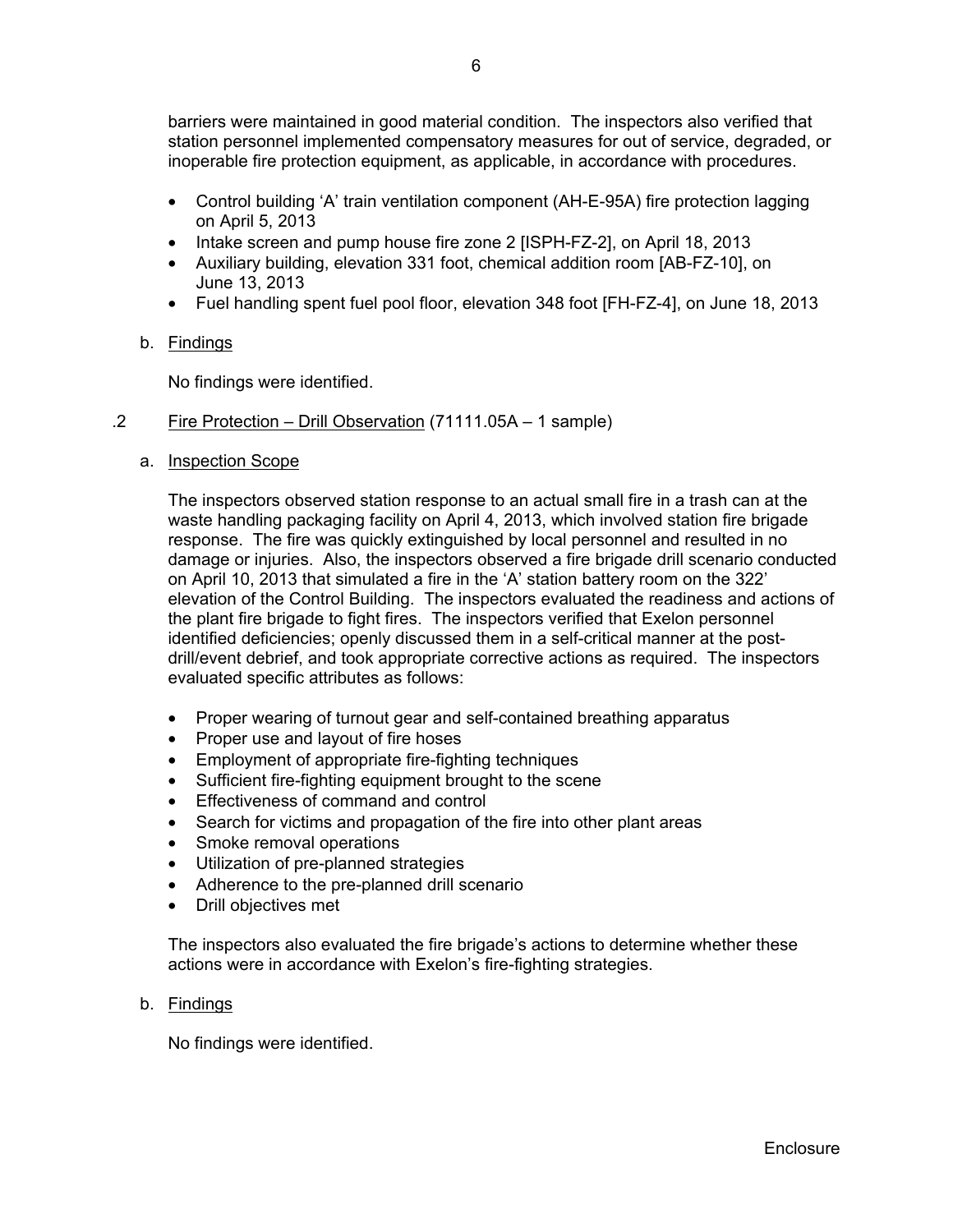- Control building 'A' train ventilation component (AH-E-95A) fire protection lagging on April 5, 2013
- Intake screen and pump house fire zone 2 [ISPH-FZ-2], on April 18, 2013
- Auxiliary building, elevation 331 foot, chemical addition room [AB-FZ-10], on June 13, 2013
- Fuel handling spent fuel pool floor, elevation 348 foot [FH-FZ-4], on June 18, 2013
- b. Findings

No findings were identified.

# .2 Fire Protection – Drill Observation (71111.05A – 1 sample)

a. Inspection Scope

The inspectors observed station response to an actual small fire in a trash can at the waste handling packaging facility on April 4, 2013, which involved station fire brigade response. The fire was quickly extinguished by local personnel and resulted in no damage or injuries. Also, the inspectors observed a fire brigade drill scenario conducted on April 10, 2013 that simulated a fire in the 'A' station battery room on the 322' elevation of the Control Building. The inspectors evaluated the readiness and actions of the plant fire brigade to fight fires. The inspectors verified that Exelon personnel identified deficiencies; openly discussed them in a self-critical manner at the postdrill/event debrief, and took appropriate corrective actions as required. The inspectors evaluated specific attributes as follows:

- Proper wearing of turnout gear and self-contained breathing apparatus
- Proper use and layout of fire hoses
- Employment of appropriate fire-fighting techniques
- Sufficient fire-fighting equipment brought to the scene
- **Effectiveness of command and control**
- Search for victims and propagation of the fire into other plant areas
- Smoke removal operations
- Utilization of pre-planned strategies
- Adherence to the pre-planned drill scenario
- Drill objectives met

The inspectors also evaluated the fire brigade's actions to determine whether these actions were in accordance with Exelon's fire-fighting strategies.

# b. Findings

No findings were identified.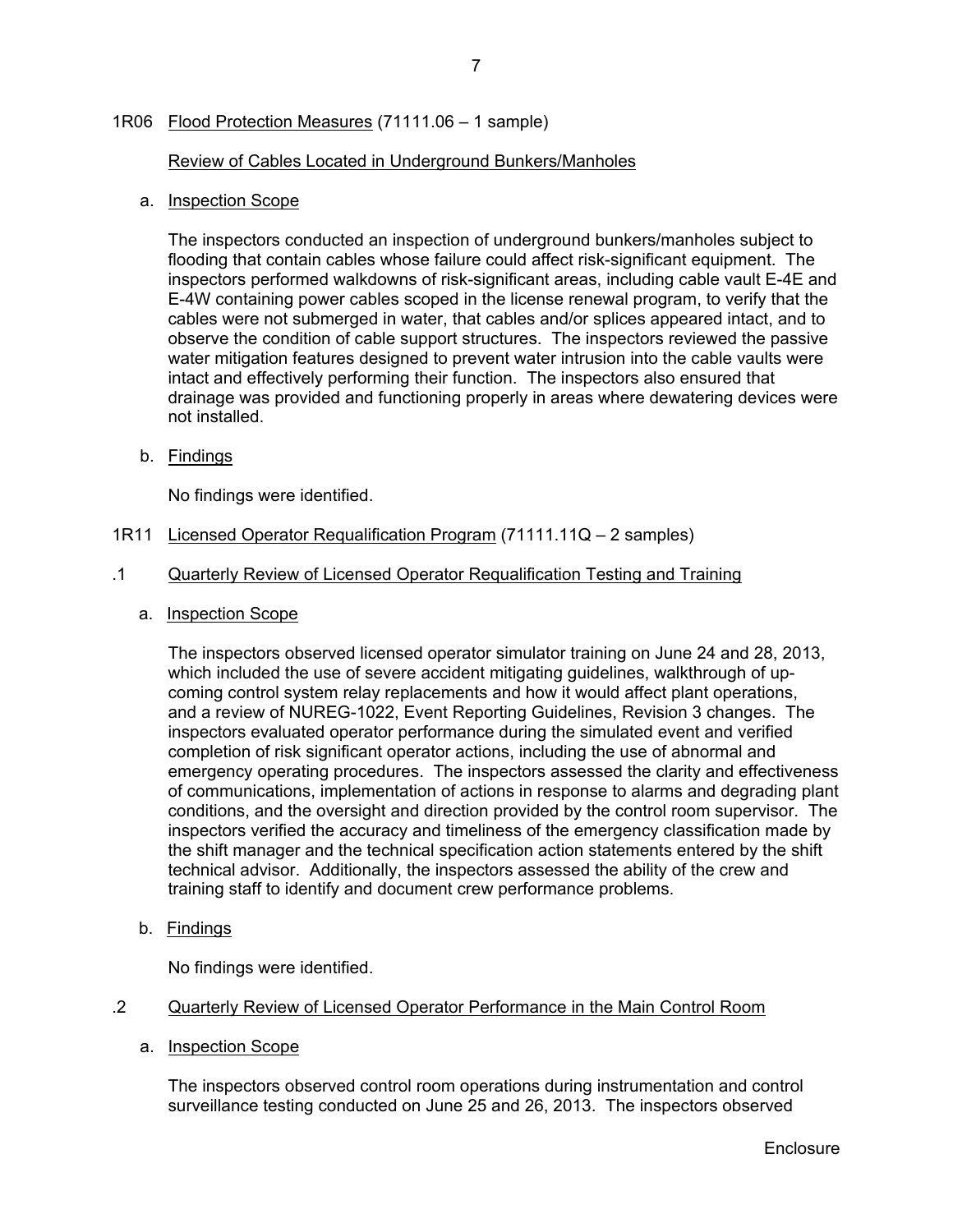# 1R06 Flood Protection Measures (71111.06 – 1 sample)

## Review of Cables Located in Underground Bunkers/Manholes

#### a. Inspection Scope

The inspectors conducted an inspection of underground bunkers/manholes subject to flooding that contain cables whose failure could affect risk-significant equipment. The inspectors performed walkdowns of risk-significant areas, including cable vault E-4E and E-4W containing power cables scoped in the license renewal program, to verify that the cables were not submerged in water, that cables and/or splices appeared intact, and to observe the condition of cable support structures. The inspectors reviewed the passive water mitigation features designed to prevent water intrusion into the cable vaults were intact and effectively performing their function. The inspectors also ensured that drainage was provided and functioning properly in areas where dewatering devices were not installed.

b. Findings

No findings were identified.

1R11 Licensed Operator Requalification Program (71111.11Q – 2 samples)

### .1 Quarterly Review of Licensed Operator Requalification Testing and Training

a. Inspection Scope

The inspectors observed licensed operator simulator training on June 24 and 28, 2013, which included the use of severe accident mitigating guidelines, walkthrough of upcoming control system relay replacements and how it would affect plant operations, and a review of NUREG-1022, Event Reporting Guidelines, Revision 3 changes. The inspectors evaluated operator performance during the simulated event and verified completion of risk significant operator actions, including the use of abnormal and emergency operating procedures. The inspectors assessed the clarity and effectiveness of communications, implementation of actions in response to alarms and degrading plant conditions, and the oversight and direction provided by the control room supervisor. The inspectors verified the accuracy and timeliness of the emergency classification made by the shift manager and the technical specification action statements entered by the shift technical advisor. Additionally, the inspectors assessed the ability of the crew and training staff to identify and document crew performance problems.

b. Findings

No findings were identified.

#### .2 Quarterly Review of Licensed Operator Performance in the Main Control Room

a. Inspection Scope

The inspectors observed control room operations during instrumentation and control surveillance testing conducted on June 25 and 26, 2013. The inspectors observed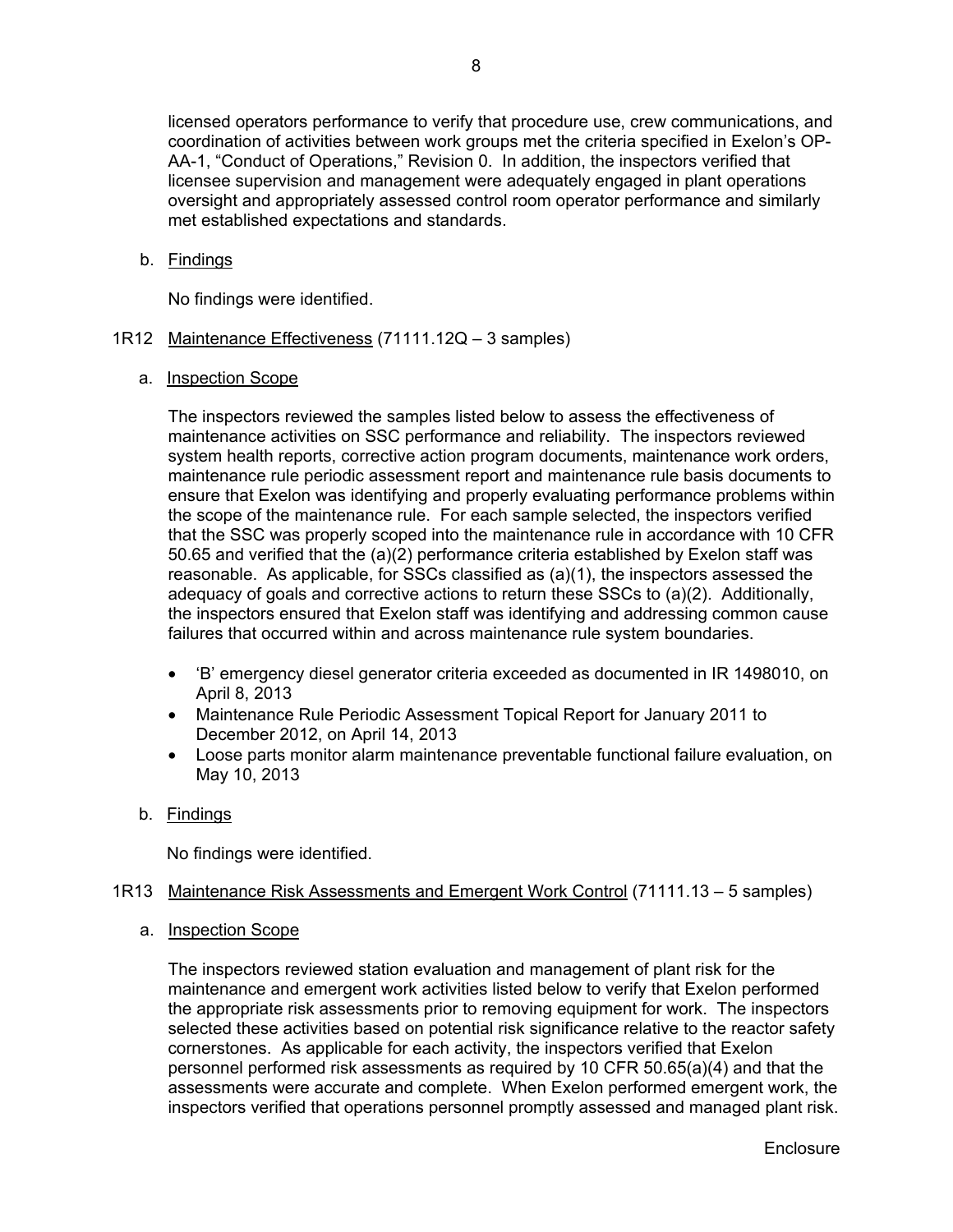licensed operators performance to verify that procedure use, crew communications, and coordination of activities between work groups met the criteria specified in Exelon's OP-AA-1, "Conduct of Operations," Revision 0. In addition, the inspectors verified that licensee supervision and management were adequately engaged in plant operations oversight and appropriately assessed control room operator performance and similarly met established expectations and standards.

# b. Findings

No findings were identified.

- 1R12 Maintenance Effectiveness (71111.12Q 3 samples)
	- a. Inspection Scope

The inspectors reviewed the samples listed below to assess the effectiveness of maintenance activities on SSC performance and reliability. The inspectors reviewed system health reports, corrective action program documents, maintenance work orders, maintenance rule periodic assessment report and maintenance rule basis documents to ensure that Exelon was identifying and properly evaluating performance problems within the scope of the maintenance rule. For each sample selected, the inspectors verified that the SSC was properly scoped into the maintenance rule in accordance with 10 CFR 50.65 and verified that the (a)(2) performance criteria established by Exelon staff was reasonable. As applicable, for SSCs classified as (a)(1), the inspectors assessed the adequacy of goals and corrective actions to return these SSCs to (a)(2). Additionally, the inspectors ensured that Exelon staff was identifying and addressing common cause failures that occurred within and across maintenance rule system boundaries.

- 'B' emergency diesel generator criteria exceeded as documented in IR 1498010, on April 8, 2013
- Maintenance Rule Periodic Assessment Topical Report for January 2011 to December 2012, on April 14, 2013
- Loose parts monitor alarm maintenance preventable functional failure evaluation, on May 10, 2013
- b. Findings

No findings were identified.

# 1R13 Maintenance Risk Assessments and Emergent Work Control (71111.13 – 5 samples)

a. Inspection Scope

The inspectors reviewed station evaluation and management of plant risk for the maintenance and emergent work activities listed below to verify that Exelon performed the appropriate risk assessments prior to removing equipment for work. The inspectors selected these activities based on potential risk significance relative to the reactor safety cornerstones. As applicable for each activity, the inspectors verified that Exelon personnel performed risk assessments as required by 10 CFR 50.65(a)(4) and that the assessments were accurate and complete. When Exelon performed emergent work, the inspectors verified that operations personnel promptly assessed and managed plant risk.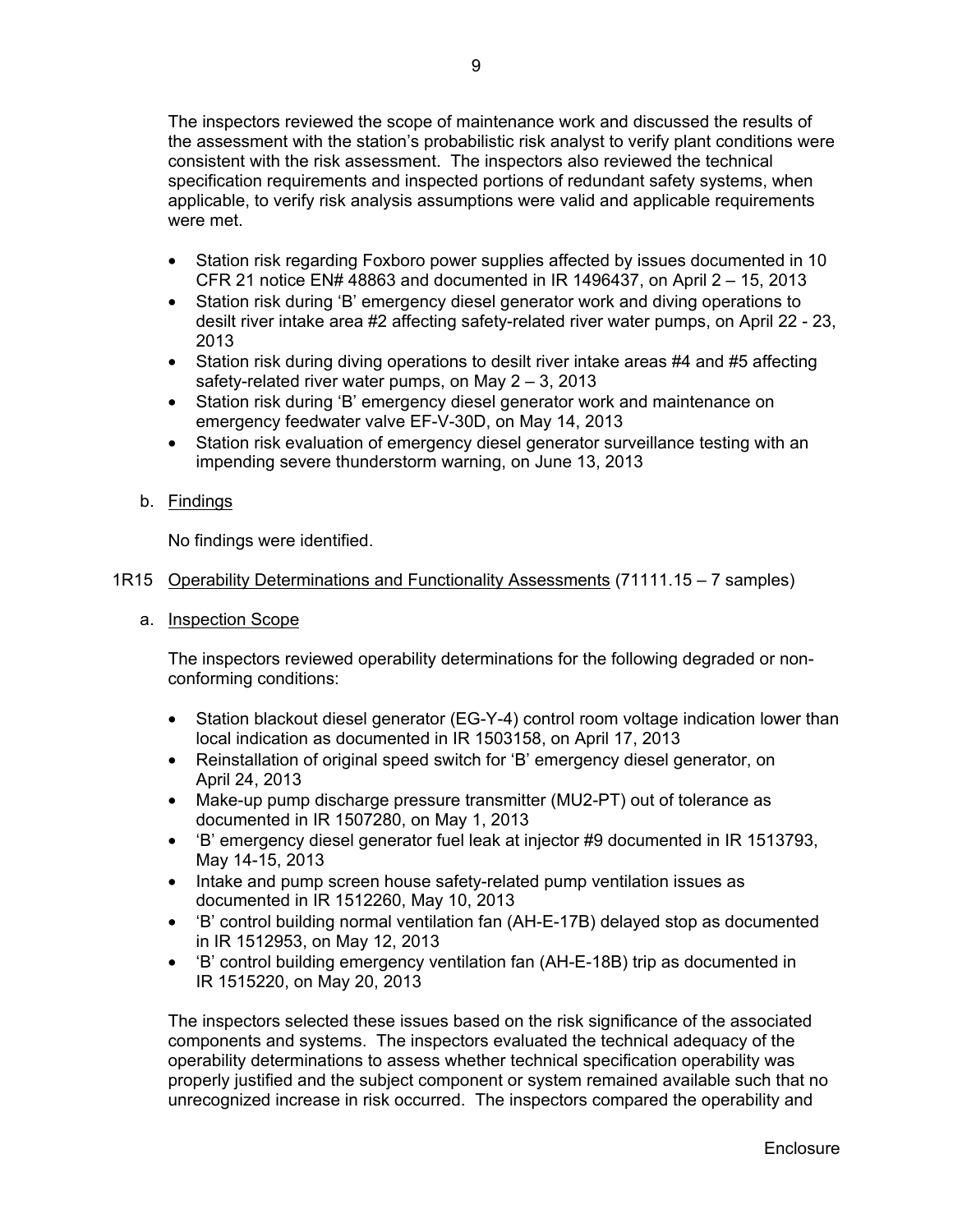The inspectors reviewed the scope of maintenance work and discussed the results of the assessment with the station's probabilistic risk analyst to verify plant conditions were consistent with the risk assessment. The inspectors also reviewed the technical specification requirements and inspected portions of redundant safety systems, when applicable, to verify risk analysis assumptions were valid and applicable requirements were met.

- Station risk regarding Foxboro power supplies affected by issues documented in 10 CFR 21 notice EN# 48863 and documented in IR 1496437, on April 2 – 15, 2013
- Station risk during 'B' emergency diesel generator work and diving operations to desilt river intake area #2 affecting safety-related river water pumps, on April 22 - 23, 2013
- Station risk during diving operations to desilt river intake areas #4 and #5 affecting safety-related river water pumps, on May 2 – 3, 2013
- Station risk during 'B' emergency diesel generator work and maintenance on emergency feedwater valve EF-V-30D, on May 14, 2013
- Station risk evaluation of emergency diesel generator surveillance testing with an impending severe thunderstorm warning, on June 13, 2013
- b. Findings

No findings were identified.

# 1R15 Operability Determinations and Functionality Assessments (71111.15 – 7 samples)

a. Inspection Scope

The inspectors reviewed operability determinations for the following degraded or nonconforming conditions:

- Station blackout diesel generator (EG-Y-4) control room voltage indication lower than local indication as documented in IR 1503158, on April 17, 2013
- Reinstallation of original speed switch for 'B' emergency diesel generator, on April 24, 2013
- Make-up pump discharge pressure transmitter (MU2-PT) out of tolerance as documented in IR 1507280, on May 1, 2013
- 'B' emergency diesel generator fuel leak at injector #9 documented in IR 1513793, May 14-15, 2013
- Intake and pump screen house safety-related pump ventilation issues as documented in IR 1512260, May 10, 2013
- 'B' control building normal ventilation fan (AH-E-17B) delayed stop as documented in IR 1512953, on May 12, 2013
- 'B' control building emergency ventilation fan (AH-E-18B) trip as documented in IR 1515220, on May 20, 2013

The inspectors selected these issues based on the risk significance of the associated components and systems. The inspectors evaluated the technical adequacy of the operability determinations to assess whether technical specification operability was properly justified and the subject component or system remained available such that no unrecognized increase in risk occurred. The inspectors compared the operability and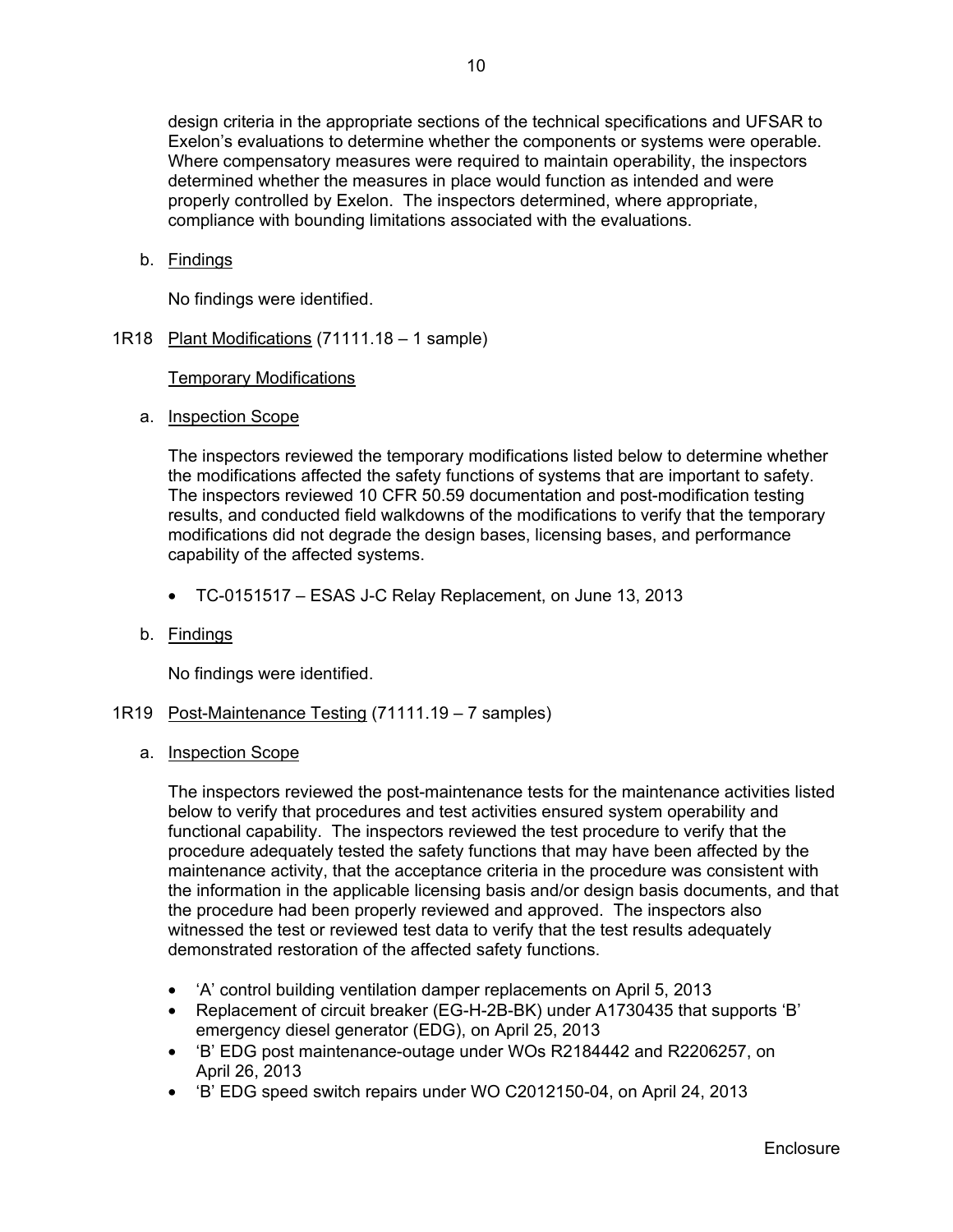design criteria in the appropriate sections of the technical specifications and UFSAR to Exelon's evaluations to determine whether the components or systems were operable. Where compensatory measures were required to maintain operability, the inspectors determined whether the measures in place would function as intended and were properly controlled by Exelon. The inspectors determined, where appropriate, compliance with bounding limitations associated with the evaluations.

b. Findings

No findings were identified.

1R18 Plant Modifications (71111.18 – 1 sample)

## Temporary Modifications

a. Inspection Scope

The inspectors reviewed the temporary modifications listed below to determine whether the modifications affected the safety functions of systems that are important to safety. The inspectors reviewed 10 CFR 50.59 documentation and post-modification testing results, and conducted field walkdowns of the modifications to verify that the temporary modifications did not degrade the design bases, licensing bases, and performance capability of the affected systems.

- TC-0151517 ESAS J-C Relay Replacement, on June 13, 2013
- b. Findings

No findings were identified.

## 1R19 Post-Maintenance Testing (71111.19 – 7 samples)

a. Inspection Scope

The inspectors reviewed the post-maintenance tests for the maintenance activities listed below to verify that procedures and test activities ensured system operability and functional capability. The inspectors reviewed the test procedure to verify that the procedure adequately tested the safety functions that may have been affected by the maintenance activity, that the acceptance criteria in the procedure was consistent with the information in the applicable licensing basis and/or design basis documents, and that the procedure had been properly reviewed and approved. The inspectors also witnessed the test or reviewed test data to verify that the test results adequately demonstrated restoration of the affected safety functions.

- 'A' control building ventilation damper replacements on April 5, 2013
- Replacement of circuit breaker (EG-H-2B-BK) under A1730435 that supports 'B' emergency diesel generator (EDG), on April 25, 2013
- 'B' EDG post maintenance-outage under WOs R2184442 and R2206257, on April 26, 2013
- 'B' EDG speed switch repairs under WO C2012150-04, on April 24, 2013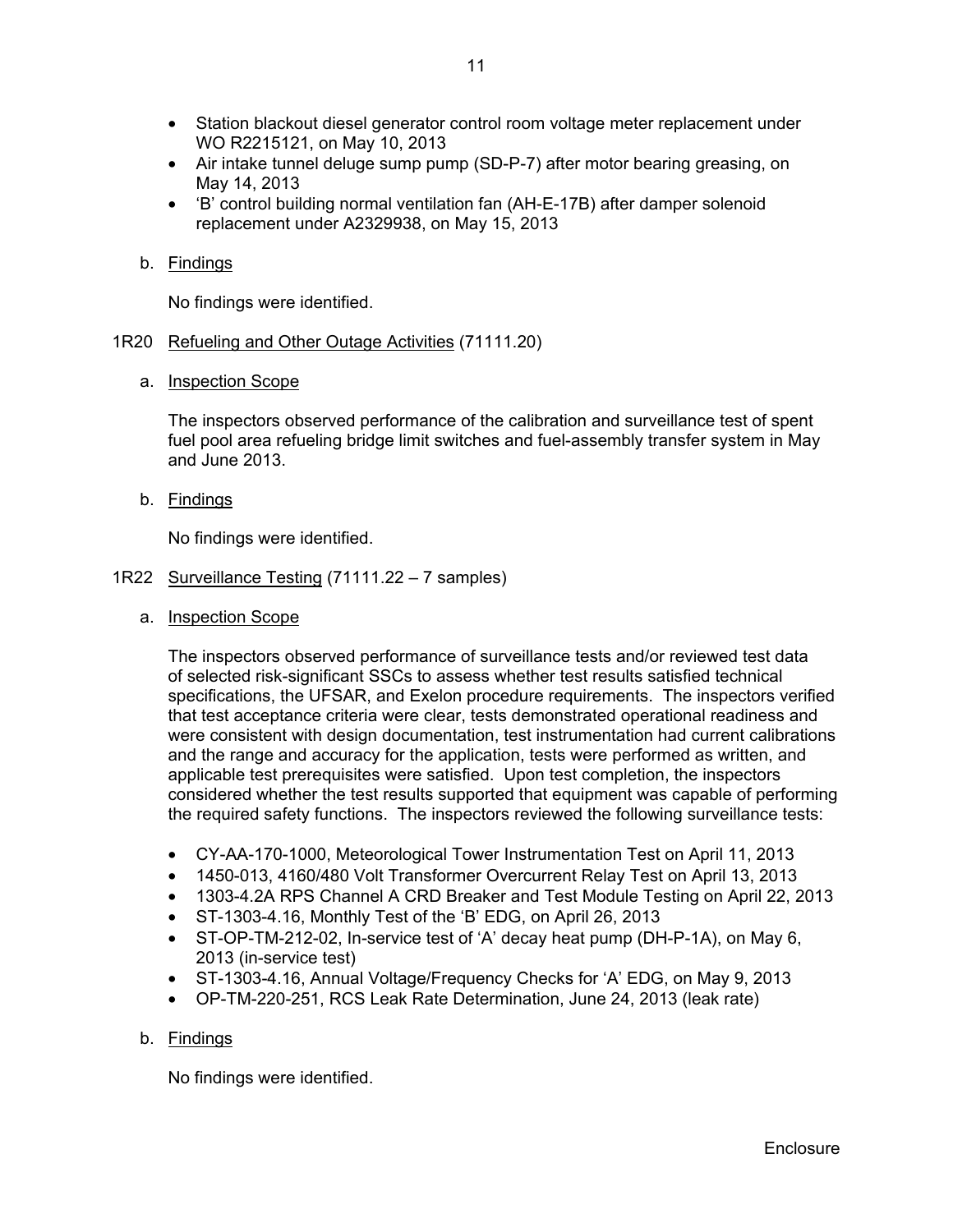- Station blackout diesel generator control room voltage meter replacement under WO R2215121, on May 10, 2013
- Air intake tunnel deluge sump pump (SD-P-7) after motor bearing greasing, on May 14, 2013
- 'B' control building normal ventilation fan (AH-E-17B) after damper solenoid replacement under A2329938, on May 15, 2013
- b. Findings

No findings were identified.

- 1R20 Refueling and Other Outage Activities (71111.20)
	- a. Inspection Scope

The inspectors observed performance of the calibration and surveillance test of spent fuel pool area refueling bridge limit switches and fuel-assembly transfer system in May and June 2013.

b. Findings

No findings were identified.

- 1R22 Surveillance Testing (71111.22 7 samples)
	- a. Inspection Scope

The inspectors observed performance of surveillance tests and/or reviewed test data of selected risk-significant SSCs to assess whether test results satisfied technical specifications, the UFSAR, and Exelon procedure requirements. The inspectors verified that test acceptance criteria were clear, tests demonstrated operational readiness and were consistent with design documentation, test instrumentation had current calibrations and the range and accuracy for the application, tests were performed as written, and applicable test prerequisites were satisfied. Upon test completion, the inspectors considered whether the test results supported that equipment was capable of performing the required safety functions. The inspectors reviewed the following surveillance tests:

- CY-AA-170-1000, Meteorological Tower Instrumentation Test on April 11, 2013
- 1450-013, 4160/480 Volt Transformer Overcurrent Relay Test on April 13, 2013
- 1303-4.2A RPS Channel A CRD Breaker and Test Module Testing on April 22, 2013
- ST-1303-4.16, Monthly Test of the 'B' EDG, on April 26, 2013
- $\bullet$  ST-OP-TM-212-02, In-service test of 'A' decay heat pump (DH-P-1A), on May 6, 2013 (in-service test)
- ST-1303-4.16, Annual Voltage/Frequency Checks for 'A' EDG, on May 9, 2013
- OP-TM-220-251, RCS Leak Rate Determination, June 24, 2013 (leak rate)

## b. Findings

No findings were identified.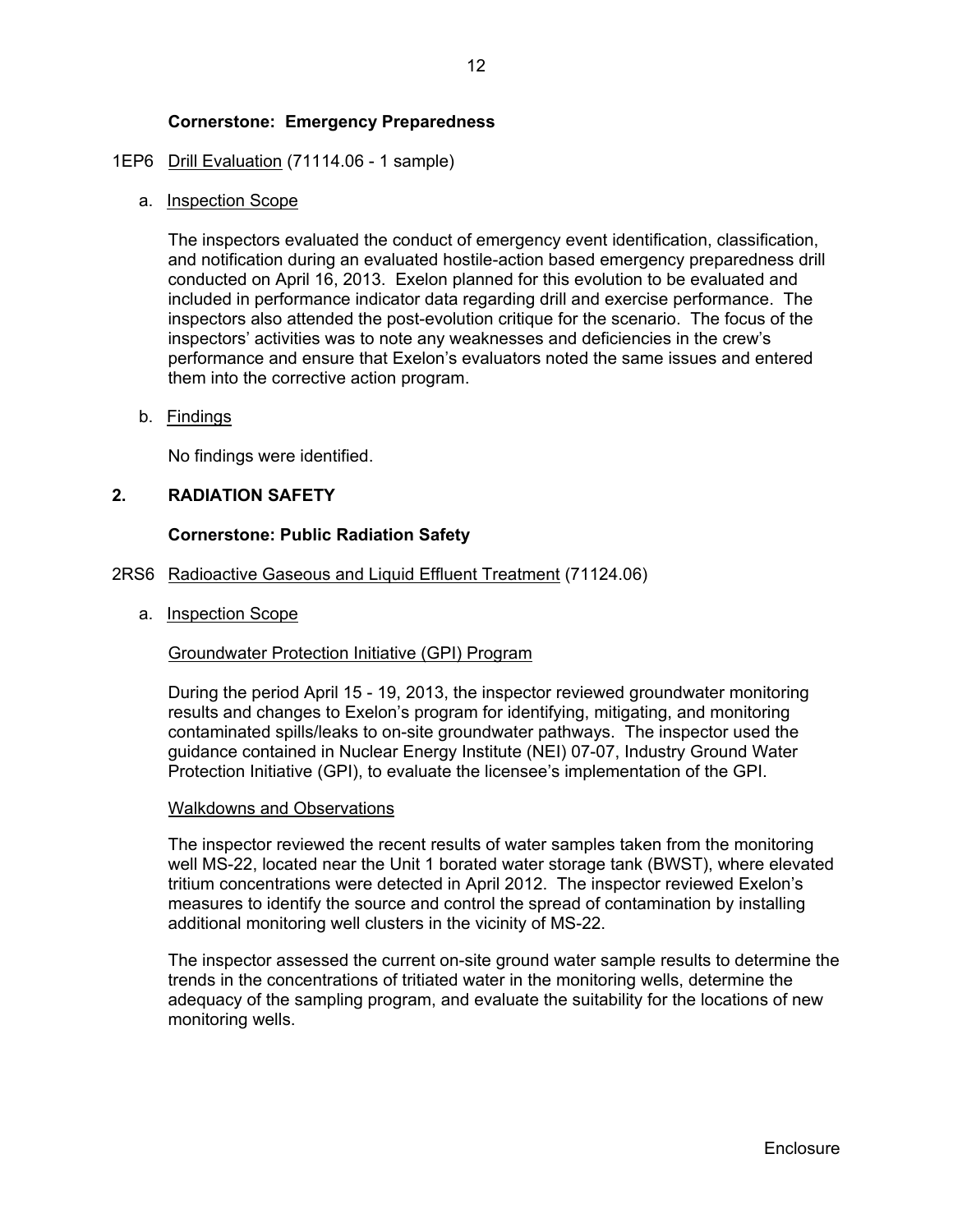# **Cornerstone: Emergency Preparedness**

#### 1EP6 Drill Evaluation (71114.06 - 1 sample)

#### a. Inspection Scope

The inspectors evaluated the conduct of emergency event identification, classification, and notification during an evaluated hostile-action based emergency preparedness drill conducted on April 16, 2013. Exelon planned for this evolution to be evaluated and included in performance indicator data regarding drill and exercise performance. The inspectors also attended the post-evolution critique for the scenario. The focus of the inspectors' activities was to note any weaknesses and deficiencies in the crew's performance and ensure that Exelon's evaluators noted the same issues and entered them into the corrective action program.

#### b. Findings

No findings were identified.

#### **2. RADIATION SAFETY**

#### **Cornerstone: Public Radiation Safety**

- 2RS6 Radioactive Gaseous and Liquid Effluent Treatment (71124.06)
	- a. Inspection Scope

#### Groundwater Protection Initiative (GPI) Program

During the period April 15 - 19, 2013, the inspector reviewed groundwater monitoring results and changes to Exelon's program for identifying, mitigating, and monitoring contaminated spills/leaks to on-site groundwater pathways. The inspector used the guidance contained in Nuclear Energy Institute (NEI) 07-07, Industry Ground Water Protection Initiative (GPI), to evaluate the licensee's implementation of the GPI.

#### Walkdowns and Observations

The inspector reviewed the recent results of water samples taken from the monitoring well MS-22, located near the Unit 1 borated water storage tank (BWST), where elevated tritium concentrations were detected in April 2012. The inspector reviewed Exelon's measures to identify the source and control the spread of contamination by installing additional monitoring well clusters in the vicinity of MS-22.

The inspector assessed the current on-site ground water sample results to determine the trends in the concentrations of tritiated water in the monitoring wells, determine the adequacy of the sampling program, and evaluate the suitability for the locations of new monitoring wells.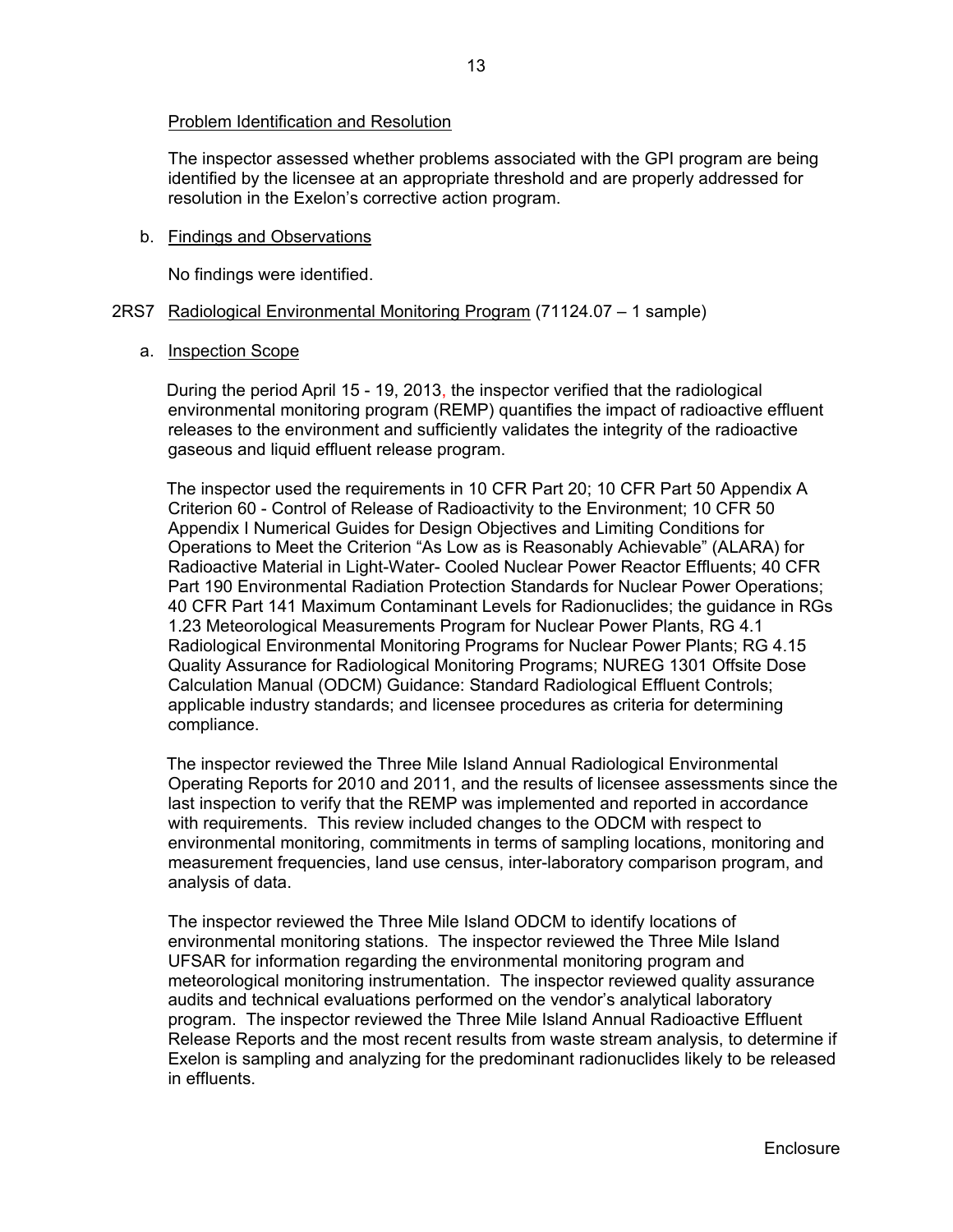## Problem Identification and Resolution

The inspector assessed whether problems associated with the GPI program are being identified by the licensee at an appropriate threshold and are properly addressed for resolution in the Exelon's corrective action program.

## b. Findings and Observations

No findings were identified.

# 2RS7 Radiological Environmental Monitoring Program (71124.07 – 1 sample)

## a. Inspection Scope

During the period April 15 - 19, 2013, the inspector verified that the radiological environmental monitoring program (REMP) quantifies the impact of radioactive effluent releases to the environment and sufficiently validates the integrity of the radioactive gaseous and liquid effluent release program.

The inspector used the requirements in 10 CFR Part 20; 10 CFR Part 50 Appendix A Criterion 60 - Control of Release of Radioactivity to the Environment; 10 CFR 50 Appendix I Numerical Guides for Design Objectives and Limiting Conditions for Operations to Meet the Criterion "As Low as is Reasonably Achievable" (ALARA) for Radioactive Material in Light-Water- Cooled Nuclear Power Reactor Effluents; 40 CFR Part 190 Environmental Radiation Protection Standards for Nuclear Power Operations; 40 CFR Part 141 Maximum Contaminant Levels for Radionuclides; the guidance in RGs 1.23 Meteorological Measurements Program for Nuclear Power Plants, RG 4.1 Radiological Environmental Monitoring Programs for Nuclear Power Plants; RG 4.15 Quality Assurance for Radiological Monitoring Programs; NUREG 1301 Offsite Dose Calculation Manual (ODCM) Guidance: Standard Radiological Effluent Controls; applicable industry standards; and licensee procedures as criteria for determining compliance.

The inspector reviewed the Three Mile Island Annual Radiological Environmental Operating Reports for 2010 and 2011, and the results of licensee assessments since the last inspection to verify that the REMP was implemented and reported in accordance with requirements. This review included changes to the ODCM with respect to environmental monitoring, commitments in terms of sampling locations, monitoring and measurement frequencies, land use census, inter-laboratory comparison program, and analysis of data.

The inspector reviewed the Three Mile Island ODCM to identify locations of environmental monitoring stations. The inspector reviewed the Three Mile Island UFSAR for information regarding the environmental monitoring program and meteorological monitoring instrumentation. The inspector reviewed quality assurance audits and technical evaluations performed on the vendor's analytical laboratory program. The inspector reviewed the Three Mile Island Annual Radioactive Effluent Release Reports and the most recent results from waste stream analysis, to determine if Exelon is sampling and analyzing for the predominant radionuclides likely to be released in effluents.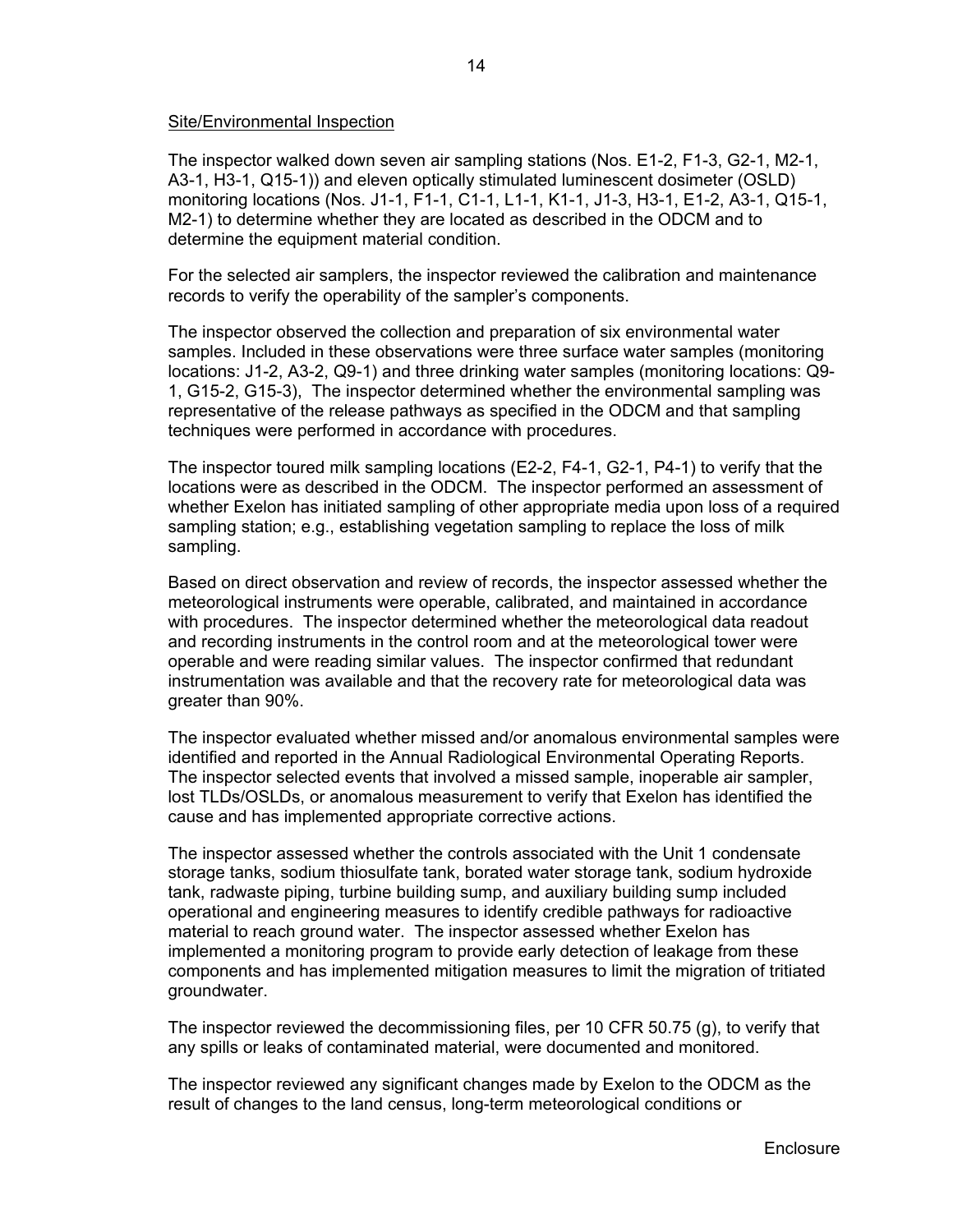### Site/Environmental Inspection

The inspector walked down seven air sampling stations (Nos. E1-2, F1-3, G2-1, M2-1, A3-1, H3-1, Q15-1)) and eleven optically stimulated luminescent dosimeter (OSLD) monitoring locations (Nos. J1-1, F1-1, C1-1, L1-1, K1-1, J1-3, H3-1, E1-2, A3-1, Q15-1, M2-1) to determine whether they are located as described in the ODCM and to determine the equipment material condition.

For the selected air samplers, the inspector reviewed the calibration and maintenance records to verify the operability of the sampler's components.

The inspector observed the collection and preparation of six environmental water samples. Included in these observations were three surface water samples (monitoring locations: J1-2, A3-2, Q9-1) and three drinking water samples (monitoring locations: Q9- 1, G15-2, G15-3), The inspector determined whether the environmental sampling was representative of the release pathways as specified in the ODCM and that sampling techniques were performed in accordance with procedures.

The inspector toured milk sampling locations (E2-2, F4-1, G2-1, P4-1) to verify that the locations were as described in the ODCM. The inspector performed an assessment of whether Exelon has initiated sampling of other appropriate media upon loss of a required sampling station; e.g., establishing vegetation sampling to replace the loss of milk sampling.

Based on direct observation and review of records, the inspector assessed whether the meteorological instruments were operable, calibrated, and maintained in accordance with procedures. The inspector determined whether the meteorological data readout and recording instruments in the control room and at the meteorological tower were operable and were reading similar values. The inspector confirmed that redundant instrumentation was available and that the recovery rate for meteorological data was greater than 90%.

The inspector evaluated whether missed and/or anomalous environmental samples were identified and reported in the Annual Radiological Environmental Operating Reports. The inspector selected events that involved a missed sample, inoperable air sampler, lost TLDs/OSLDs, or anomalous measurement to verify that Exelon has identified the cause and has implemented appropriate corrective actions.

The inspector assessed whether the controls associated with the Unit 1 condensate storage tanks, sodium thiosulfate tank, borated water storage tank, sodium hydroxide tank, radwaste piping, turbine building sump, and auxiliary building sump included operational and engineering measures to identify credible pathways for radioactive material to reach ground water. The inspector assessed whether Exelon has implemented a monitoring program to provide early detection of leakage from these components and has implemented mitigation measures to limit the migration of tritiated groundwater.

The inspector reviewed the decommissioning files, per 10 CFR 50.75 (g), to verify that any spills or leaks of contaminated material, were documented and monitored.

The inspector reviewed any significant changes made by Exelon to the ODCM as the result of changes to the land census, long-term meteorological conditions or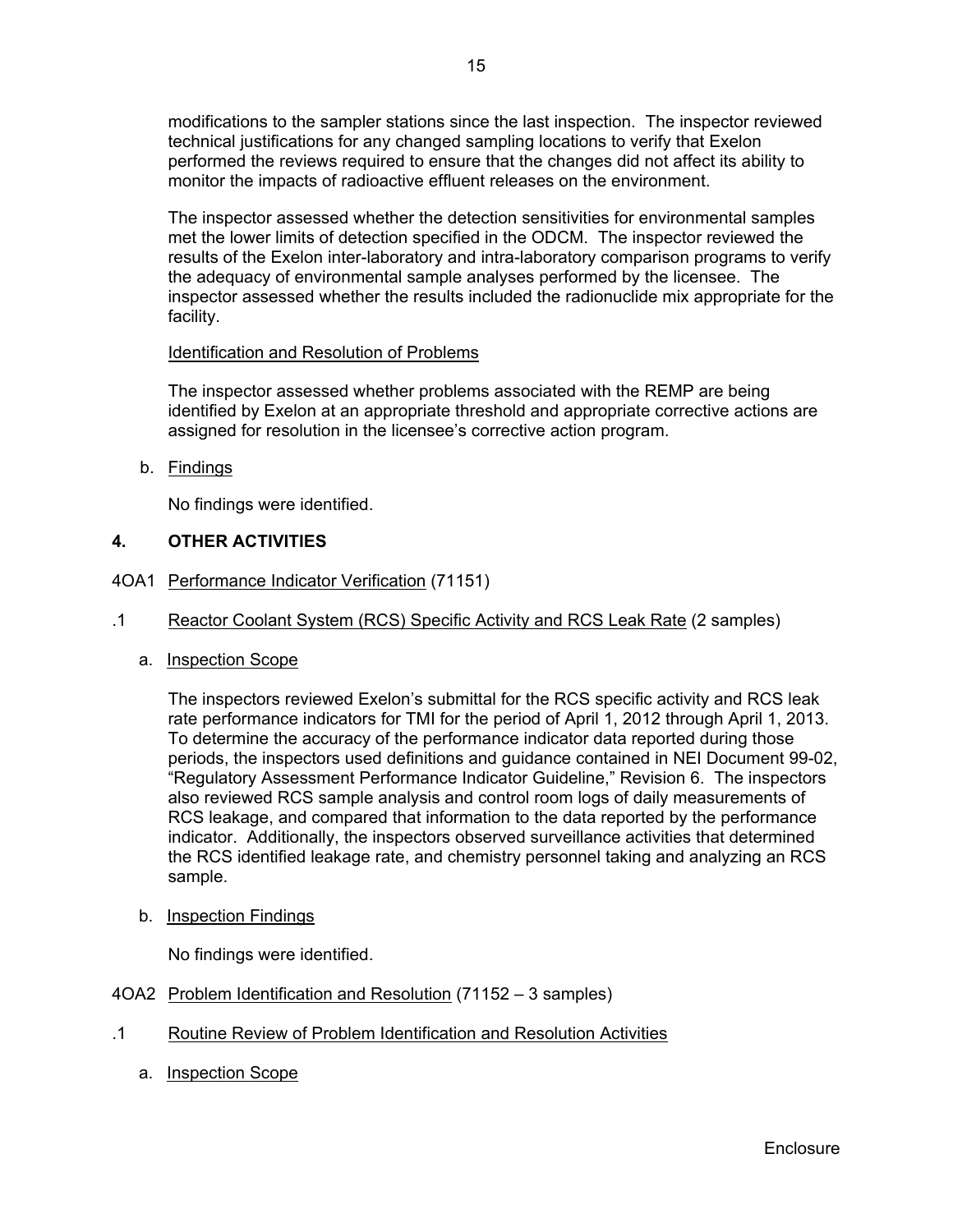modifications to the sampler stations since the last inspection. The inspector reviewed technical justifications for any changed sampling locations to verify that Exelon performed the reviews required to ensure that the changes did not affect its ability to monitor the impacts of radioactive effluent releases on the environment.

The inspector assessed whether the detection sensitivities for environmental samples met the lower limits of detection specified in the ODCM. The inspector reviewed the results of the Exelon inter-laboratory and intra-laboratory comparison programs to verify the adequacy of environmental sample analyses performed by the licensee. The inspector assessed whether the results included the radionuclide mix appropriate for the facility.

# Identification and Resolution of Problems

The inspector assessed whether problems associated with the REMP are being identified by Exelon at an appropriate threshold and appropriate corrective actions are assigned for resolution in the licensee's corrective action program.

b. Findings

No findings were identified.

# **4. OTHER ACTIVITIES**

- 4OA1 Performance Indicator Verification (71151)
- .1 Reactor Coolant System (RCS) Specific Activity and RCS Leak Rate (2 samples)
	- a. Inspection Scope

The inspectors reviewed Exelon's submittal for the RCS specific activity and RCS leak rate performance indicators for TMI for the period of April 1, 2012 through April 1, 2013. To determine the accuracy of the performance indicator data reported during those periods, the inspectors used definitions and guidance contained in NEI Document 99-02, "Regulatory Assessment Performance Indicator Guideline," Revision 6. The inspectors also reviewed RCS sample analysis and control room logs of daily measurements of RCS leakage, and compared that information to the data reported by the performance indicator. Additionally, the inspectors observed surveillance activities that determined the RCS identified leakage rate, and chemistry personnel taking and analyzing an RCS sample.

b. **Inspection Findings** 

No findings were identified.

- 4OA2 Problem Identification and Resolution (71152 3 samples)
- .1 Routine Review of Problem Identification and Resolution Activities
	- a. Inspection Scope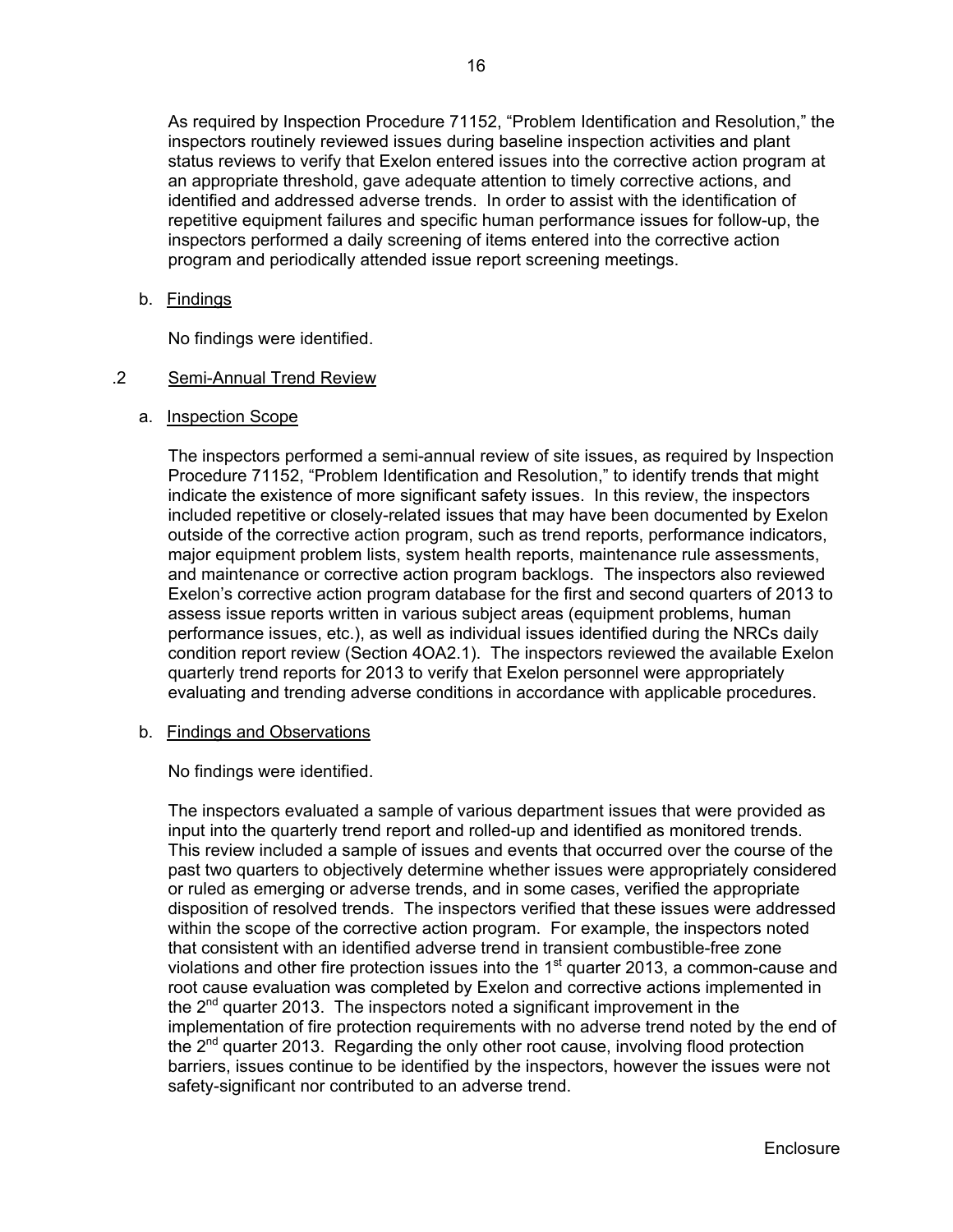As required by Inspection Procedure 71152, "Problem Identification and Resolution," the inspectors routinely reviewed issues during baseline inspection activities and plant status reviews to verify that Exelon entered issues into the corrective action program at an appropriate threshold, gave adequate attention to timely corrective actions, and identified and addressed adverse trends. In order to assist with the identification of repetitive equipment failures and specific human performance issues for follow-up, the inspectors performed a daily screening of items entered into the corrective action program and periodically attended issue report screening meetings.

b. Findings

No findings were identified.

## .2 Semi-Annual Trend Review

a. Inspection Scope

The inspectors performed a semi-annual review of site issues, as required by Inspection Procedure 71152, "Problem Identification and Resolution," to identify trends that might indicate the existence of more significant safety issues. In this review, the inspectors included repetitive or closely-related issues that may have been documented by Exelon outside of the corrective action program, such as trend reports, performance indicators, major equipment problem lists, system health reports, maintenance rule assessments, and maintenance or corrective action program backlogs. The inspectors also reviewed Exelon's corrective action program database for the first and second quarters of 2013 to assess issue reports written in various subject areas (equipment problems, human performance issues, etc.), as well as individual issues identified during the NRCs daily condition report review (Section 4OA2.1). The inspectors reviewed the available Exelon quarterly trend reports for 2013 to verify that Exelon personnel were appropriately evaluating and trending adverse conditions in accordance with applicable procedures.

b. Findings and Observations

No findings were identified.

The inspectors evaluated a sample of various department issues that were provided as input into the quarterly trend report and rolled-up and identified as monitored trends. This review included a sample of issues and events that occurred over the course of the past two quarters to objectively determine whether issues were appropriately considered or ruled as emerging or adverse trends, and in some cases, verified the appropriate disposition of resolved trends. The inspectors verified that these issues were addressed within the scope of the corrective action program. For example, the inspectors noted that consistent with an identified adverse trend in transient combustible-free zone violations and other fire protection issues into the  $1<sup>st</sup>$  quarter 2013, a common-cause and root cause evaluation was completed by Exelon and corrective actions implemented in the  $2^{nd}$  quarter 2013. The inspectors noted a significant improvement in the implementation of fire protection requirements with no adverse trend noted by the end of the  $2^{nd}$  quarter 2013. Regarding the only other root cause, involving flood protection barriers, issues continue to be identified by the inspectors, however the issues were not safety-significant nor contributed to an adverse trend.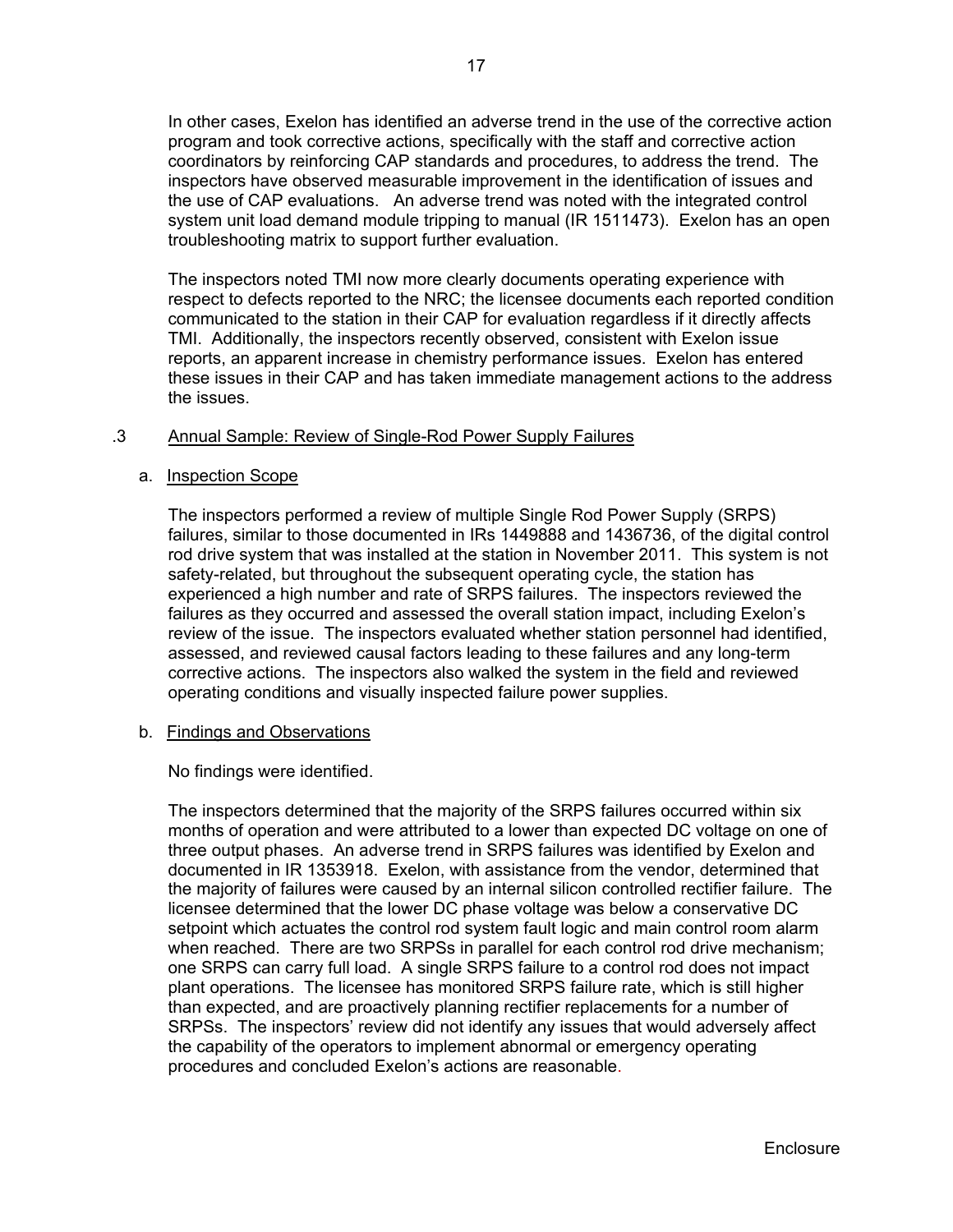In other cases, Exelon has identified an adverse trend in the use of the corrective action program and took corrective actions, specifically with the staff and corrective action coordinators by reinforcing CAP standards and procedures, to address the trend. The inspectors have observed measurable improvement in the identification of issues and the use of CAP evaluations. An adverse trend was noted with the integrated control system unit load demand module tripping to manual (IR 1511473). Exelon has an open troubleshooting matrix to support further evaluation.

The inspectors noted TMI now more clearly documents operating experience with respect to defects reported to the NRC; the licensee documents each reported condition communicated to the station in their CAP for evaluation regardless if it directly affects TMI. Additionally, the inspectors recently observed, consistent with Exelon issue reports, an apparent increase in chemistry performance issues. Exelon has entered these issues in their CAP and has taken immediate management actions to the address the issues.

## .3 Annual Sample: Review of Single-Rod Power Supply Failures

## a. Inspection Scope

The inspectors performed a review of multiple Single Rod Power Supply (SRPS) failures, similar to those documented in IRs 1449888 and 1436736, of the digital control rod drive system that was installed at the station in November 2011. This system is not safety-related, but throughout the subsequent operating cycle, the station has experienced a high number and rate of SRPS failures. The inspectors reviewed the failures as they occurred and assessed the overall station impact, including Exelon's review of the issue. The inspectors evaluated whether station personnel had identified, assessed, and reviewed causal factors leading to these failures and any long-term corrective actions. The inspectors also walked the system in the field and reviewed operating conditions and visually inspected failure power supplies.

## b. Findings and Observations

No findings were identified.

The inspectors determined that the majority of the SRPS failures occurred within six months of operation and were attributed to a lower than expected DC voltage on one of three output phases. An adverse trend in SRPS failures was identified by Exelon and documented in IR 1353918. Exelon, with assistance from the vendor, determined that the majority of failures were caused by an internal silicon controlled rectifier failure. The licensee determined that the lower DC phase voltage was below a conservative DC setpoint which actuates the control rod system fault logic and main control room alarm when reached. There are two SRPSs in parallel for each control rod drive mechanism; one SRPS can carry full load. A single SRPS failure to a control rod does not impact plant operations. The licensee has monitored SRPS failure rate, which is still higher than expected, and are proactively planning rectifier replacements for a number of SRPSs. The inspectors' review did not identify any issues that would adversely affect the capability of the operators to implement abnormal or emergency operating procedures and concluded Exelon's actions are reasonable.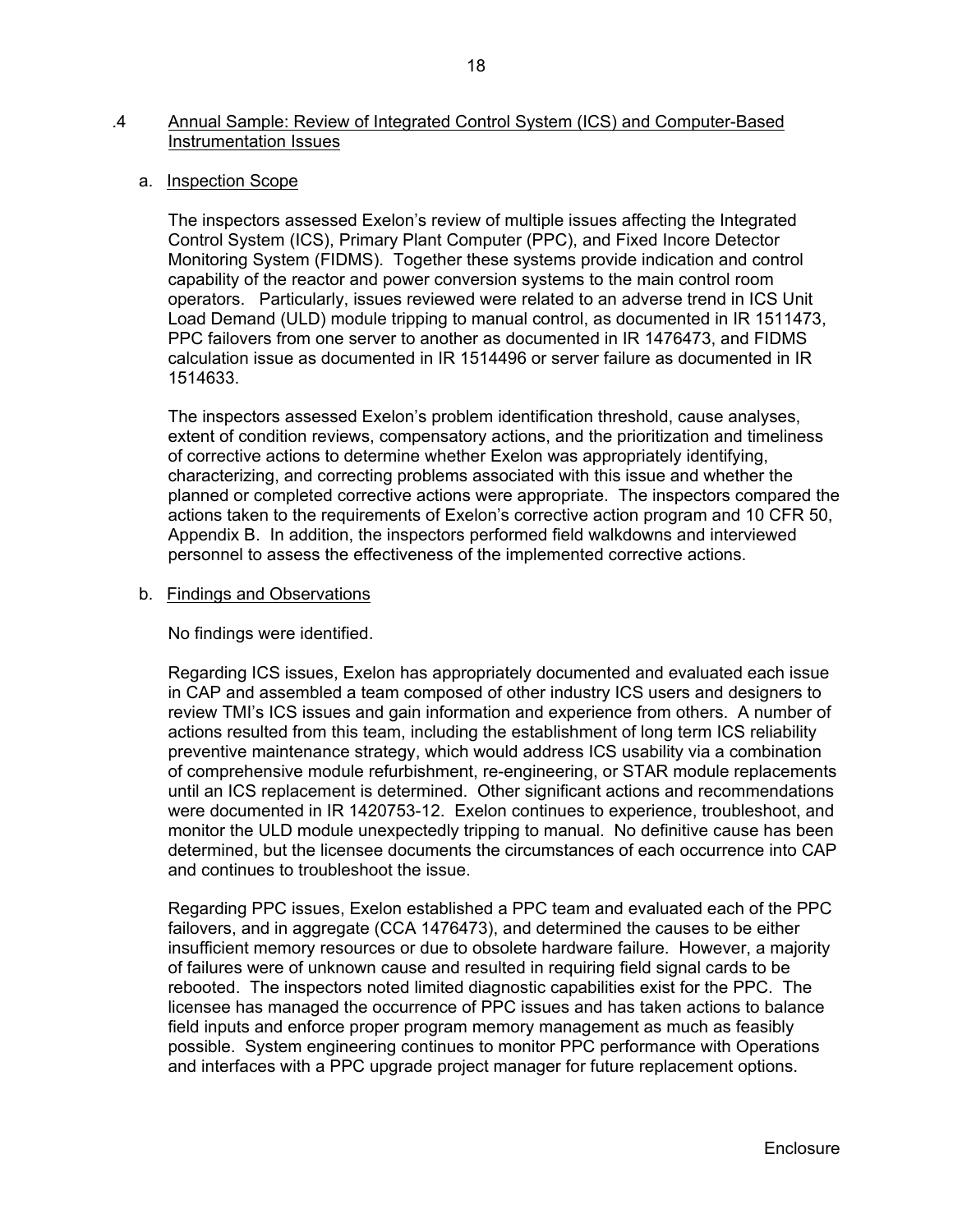#### .4 Annual Sample: Review of Integrated Control System (ICS) and Computer-Based Instrumentation Issues

#### a. Inspection Scope

The inspectors assessed Exelon's review of multiple issues affecting the Integrated Control System (ICS), Primary Plant Computer (PPC), and Fixed Incore Detector Monitoring System (FIDMS). Together these systems provide indication and control capability of the reactor and power conversion systems to the main control room operators. Particularly, issues reviewed were related to an adverse trend in ICS Unit Load Demand (ULD) module tripping to manual control, as documented in IR 1511473, PPC failovers from one server to another as documented in IR 1476473, and FIDMS calculation issue as documented in IR 1514496 or server failure as documented in IR 1514633.

The inspectors assessed Exelon's problem identification threshold, cause analyses, extent of condition reviews, compensatory actions, and the prioritization and timeliness of corrective actions to determine whether Exelon was appropriately identifying, characterizing, and correcting problems associated with this issue and whether the planned or completed corrective actions were appropriate. The inspectors compared the actions taken to the requirements of Exelon's corrective action program and 10 CFR 50, Appendix B. In addition, the inspectors performed field walkdowns and interviewed personnel to assess the effectiveness of the implemented corrective actions.

#### b. Findings and Observations

No findings were identified.

Regarding ICS issues, Exelon has appropriately documented and evaluated each issue in CAP and assembled a team composed of other industry ICS users and designers to review TMI's ICS issues and gain information and experience from others. A number of actions resulted from this team, including the establishment of long term ICS reliability preventive maintenance strategy, which would address ICS usability via a combination of comprehensive module refurbishment, re-engineering, or STAR module replacements until an ICS replacement is determined. Other significant actions and recommendations were documented in IR 1420753-12. Exelon continues to experience, troubleshoot, and monitor the ULD module unexpectedly tripping to manual. No definitive cause has been determined, but the licensee documents the circumstances of each occurrence into CAP and continues to troubleshoot the issue.

Regarding PPC issues, Exelon established a PPC team and evaluated each of the PPC failovers, and in aggregate (CCA 1476473), and determined the causes to be either insufficient memory resources or due to obsolete hardware failure. However, a majority of failures were of unknown cause and resulted in requiring field signal cards to be rebooted. The inspectors noted limited diagnostic capabilities exist for the PPC. The licensee has managed the occurrence of PPC issues and has taken actions to balance field inputs and enforce proper program memory management as much as feasibly possible. System engineering continues to monitor PPC performance with Operations and interfaces with a PPC upgrade project manager for future replacement options.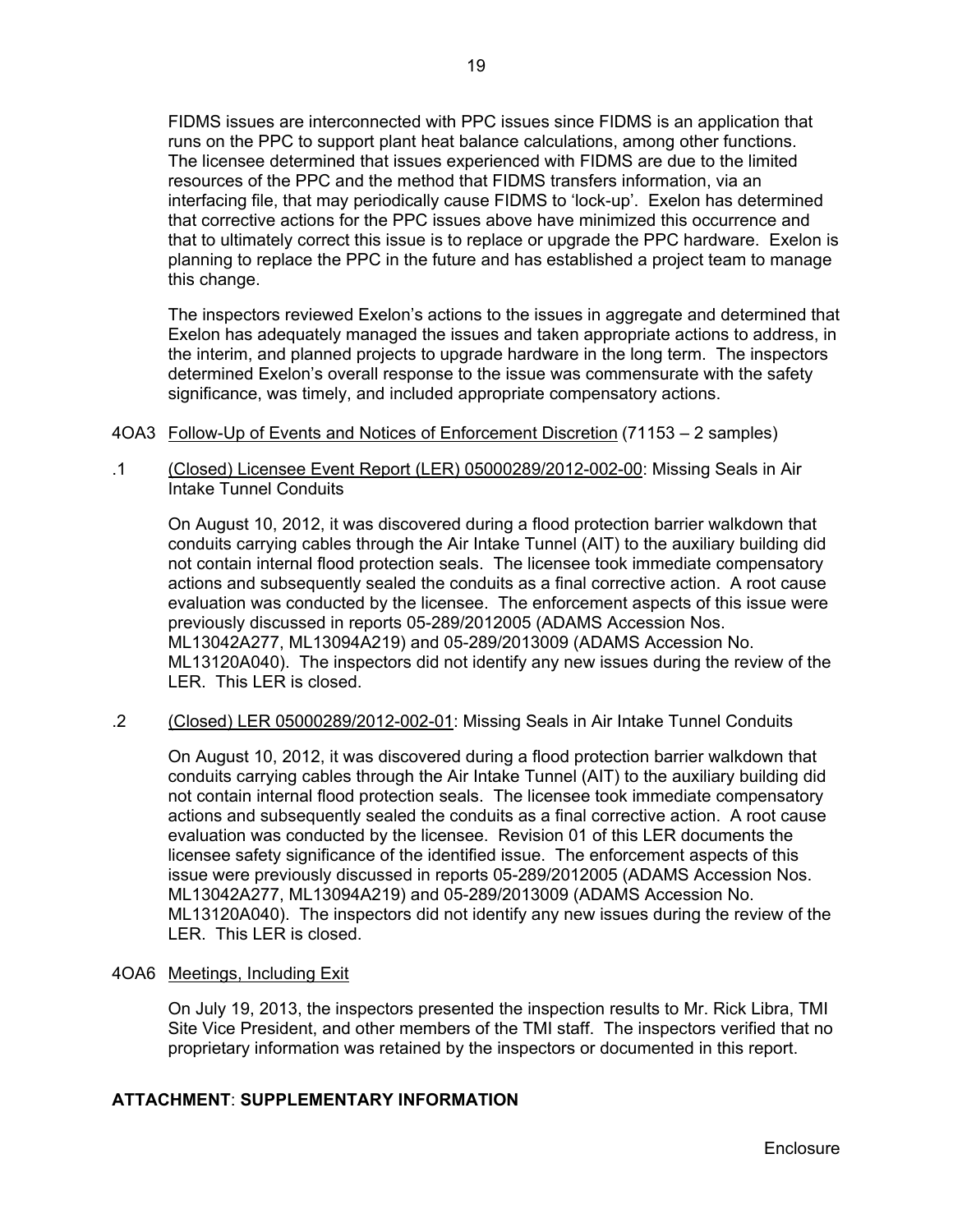FIDMS issues are interconnected with PPC issues since FIDMS is an application that runs on the PPC to support plant heat balance calculations, among other functions. The licensee determined that issues experienced with FIDMS are due to the limited resources of the PPC and the method that FIDMS transfers information, via an interfacing file, that may periodically cause FIDMS to 'lock-up'. Exelon has determined that corrective actions for the PPC issues above have minimized this occurrence and that to ultimately correct this issue is to replace or upgrade the PPC hardware. Exelon is planning to replace the PPC in the future and has established a project team to manage this change.

The inspectors reviewed Exelon's actions to the issues in aggregate and determined that Exelon has adequately managed the issues and taken appropriate actions to address, in the interim, and planned projects to upgrade hardware in the long term. The inspectors determined Exelon's overall response to the issue was commensurate with the safety significance, was timely, and included appropriate compensatory actions.

- 4OA3 Follow-Up of Events and Notices of Enforcement Discretion (71153 2 samples)
- .1 (Closed) Licensee Event Report (LER) 05000289/2012-002-00: Missing Seals in Air Intake Tunnel Conduits

On August 10, 2012, it was discovered during a flood protection barrier walkdown that conduits carrying cables through the Air Intake Tunnel (AIT) to the auxiliary building did not contain internal flood protection seals. The licensee took immediate compensatory actions and subsequently sealed the conduits as a final corrective action. A root cause evaluation was conducted by the licensee. The enforcement aspects of this issue were previously discussed in reports 05-289/2012005 (ADAMS Accession Nos. ML13042A277, ML13094A219) and 05-289/2013009 (ADAMS Accession No. ML13120A040). The inspectors did not identify any new issues during the review of the LER. This LER is closed.

.2 (Closed) LER 05000289/2012-002-01: Missing Seals in Air Intake Tunnel Conduits

On August 10, 2012, it was discovered during a flood protection barrier walkdown that conduits carrying cables through the Air Intake Tunnel (AIT) to the auxiliary building did not contain internal flood protection seals. The licensee took immediate compensatory actions and subsequently sealed the conduits as a final corrective action. A root cause evaluation was conducted by the licensee. Revision 01 of this LER documents the licensee safety significance of the identified issue. The enforcement aspects of this issue were previously discussed in reports 05-289/2012005 (ADAMS Accession Nos. ML13042A277, ML13094A219) and 05-289/2013009 (ADAMS Accession No. ML13120A040). The inspectors did not identify any new issues during the review of the LER. This LER is closed.

## 4OA6 Meetings, Including Exit

On July 19, 2013, the inspectors presented the inspection results to Mr. Rick Libra, TMI Site Vice President, and other members of the TMI staff. The inspectors verified that no proprietary information was retained by the inspectors or documented in this report.

# **ATTACHMENT**: **SUPPLEMENTARY INFORMATION**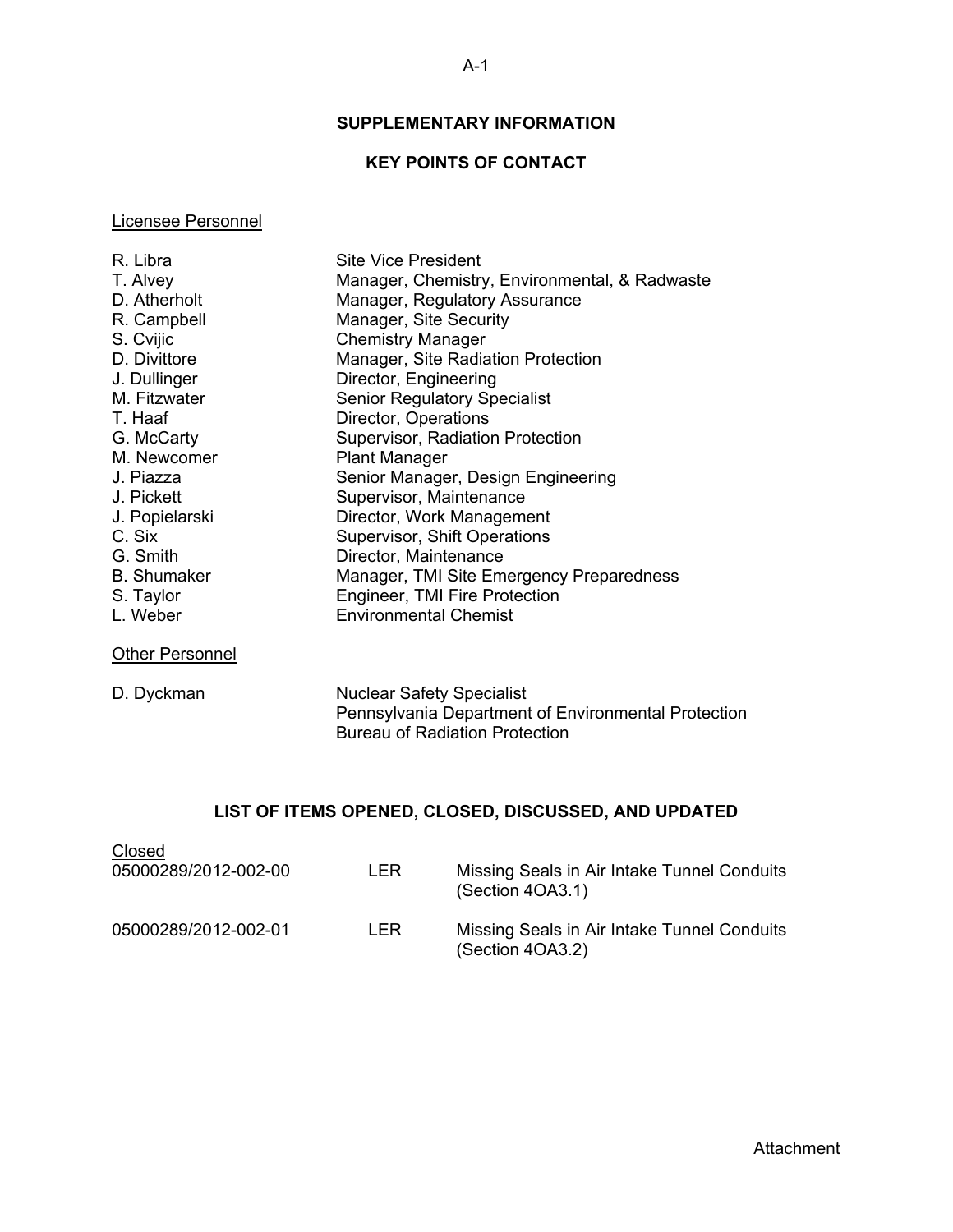# **SUPPLEMENTARY INFORMATION**

# **KEY POINTS OF CONTACT**

#### Licensee Personnel

| R. Libra           | <b>Site Vice President</b>                    |
|--------------------|-----------------------------------------------|
| T. Alvey           | Manager, Chemistry, Environmental, & Radwaste |
| D. Atherholt       | Manager, Regulatory Assurance                 |
| R. Campbell        | Manager, Site Security                        |
| S. Cvijic          | <b>Chemistry Manager</b>                      |
| D. Divittore       | Manager, Site Radiation Protection            |
| J. Dullinger       | Director, Engineering                         |
| M. Fitzwater       | <b>Senior Regulatory Specialist</b>           |
| T. Haaf            | Director, Operations                          |
| G. McCarty         | Supervisor, Radiation Protection              |
| M. Newcomer        | <b>Plant Manager</b>                          |
| J. Piazza          | Senior Manager, Design Engineering            |
| J. Pickett         | Supervisor, Maintenance                       |
| J. Popielarski     | Director, Work Management                     |
| C. Six             | <b>Supervisor, Shift Operations</b>           |
| G. Smith           | Director, Maintenance                         |
| <b>B.</b> Shumaker | Manager, TMI Site Emergency Preparedness      |
| S. Taylor          | Engineer, TMI Fire Protection                 |
| L. Weber           | <b>Environmental Chemist</b>                  |

Other Personnel

D. Dyckman Nuclear Safety Specialist Pennsylvania Department of Environmental Protection Bureau of Radiation Protection

# **LIST OF ITEMS OPENED, CLOSED, DISCUSSED, AND UPDATED**

| Closed<br>05000289/2012-002-00 | LER. | Missing Seals in Air Intake Tunnel Conduits<br>(Section 4OA3.1) |
|--------------------------------|------|-----------------------------------------------------------------|
| 05000289/2012-002-01           | LER. | Missing Seals in Air Intake Tunnel Conduits<br>(Section 4OA3.2) |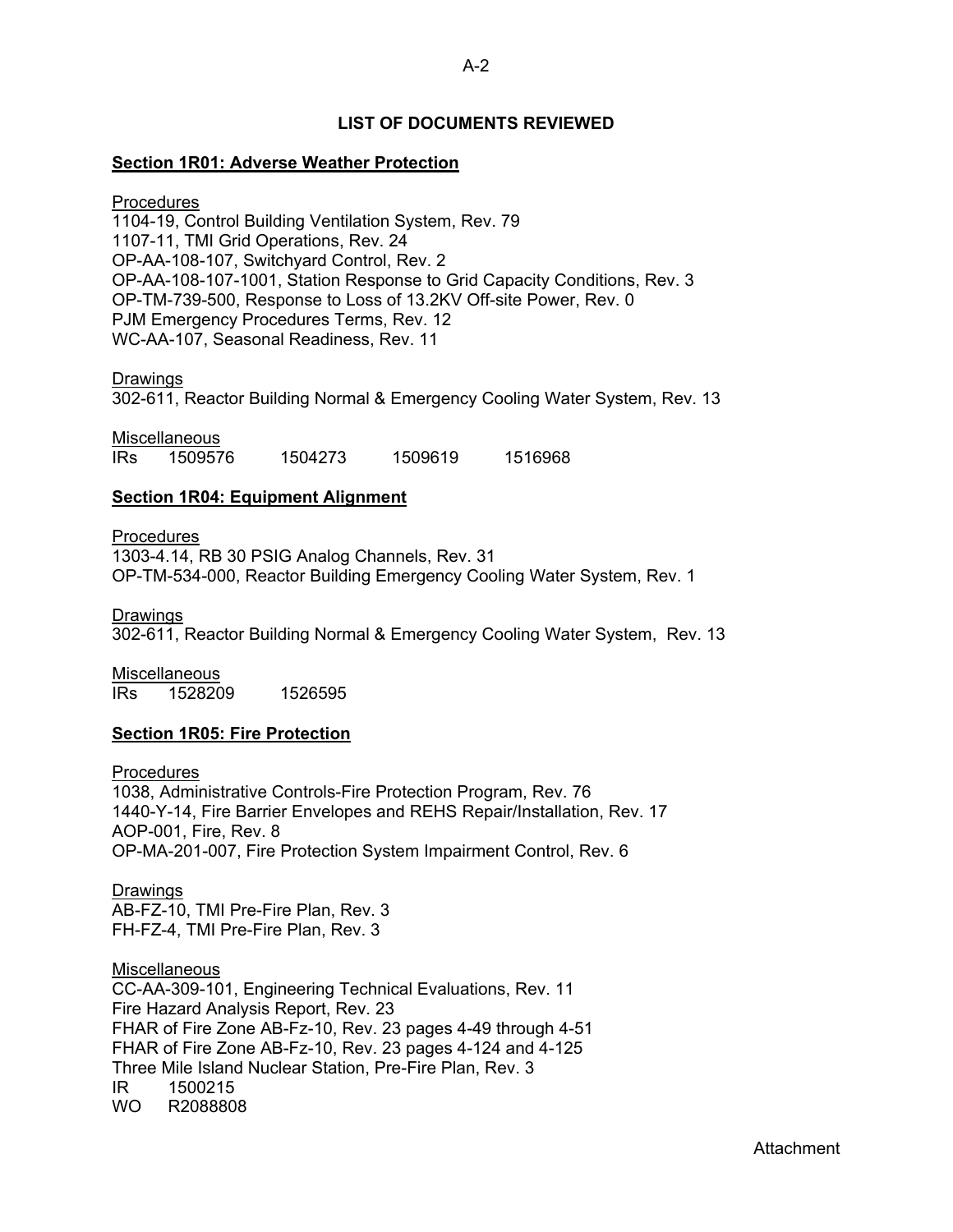#### A-2

#### **LIST OF DOCUMENTS REVIEWED**

#### **Section 1R01: Adverse Weather Protection**

#### **Procedures**

1104-19, Control Building Ventilation System, Rev. 79 1107-11, TMI Grid Operations, Rev. 24 OP-AA-108-107, Switchyard Control, Rev. 2 OP-AA-108-107-1001, Station Response to Grid Capacity Conditions, Rev. 3 OP-TM-739-500, Response to Loss of 13.2KV Off-site Power, Rev. 0 PJM Emergency Procedures Terms, Rev. 12 WC-AA-107, Seasonal Readiness, Rev. 11

Drawings

302-611, Reactor Building Normal & Emergency Cooling Water System, Rev. 13

**Miscellaneous** IRs 1509576 1504273 1509619 1516968

#### **Section 1R04: Equipment Alignment**

**Procedures** 1303-4.14, RB 30 PSIG Analog Channels, Rev. 31 OP-TM-534-000, Reactor Building Emergency Cooling Water System, Rev. 1

Drawings 302-611, Reactor Building Normal & Emergency Cooling Water System, Rev. 13

**Miscellaneous** IRs 1528209 1526595

#### **Section 1R05: Fire Protection**

**Procedures** 1038, Administrative Controls-Fire Protection Program, Rev. 76 1440-Y-14, Fire Barrier Envelopes and REHS Repair/Installation, Rev. 17 AOP-001, Fire, Rev. 8 OP-MA-201-007, Fire Protection System Impairment Control, Rev. 6

Drawings AB-FZ-10, TMI Pre-Fire Plan, Rev. 3 FH-FZ-4, TMI Pre-Fire Plan, Rev. 3

**Miscellaneous** CC-AA-309-101, Engineering Technical Evaluations, Rev. 11 Fire Hazard Analysis Report, Rev. 23 FHAR of Fire Zone AB-Fz-10, Rev. 23 pages 4-49 through 4-51 FHAR of Fire Zone AB-Fz-10, Rev. 23 pages 4-124 and 4-125 Three Mile Island Nuclear Station, Pre-Fire Plan, Rev. 3 IR 1500215 WO R2088808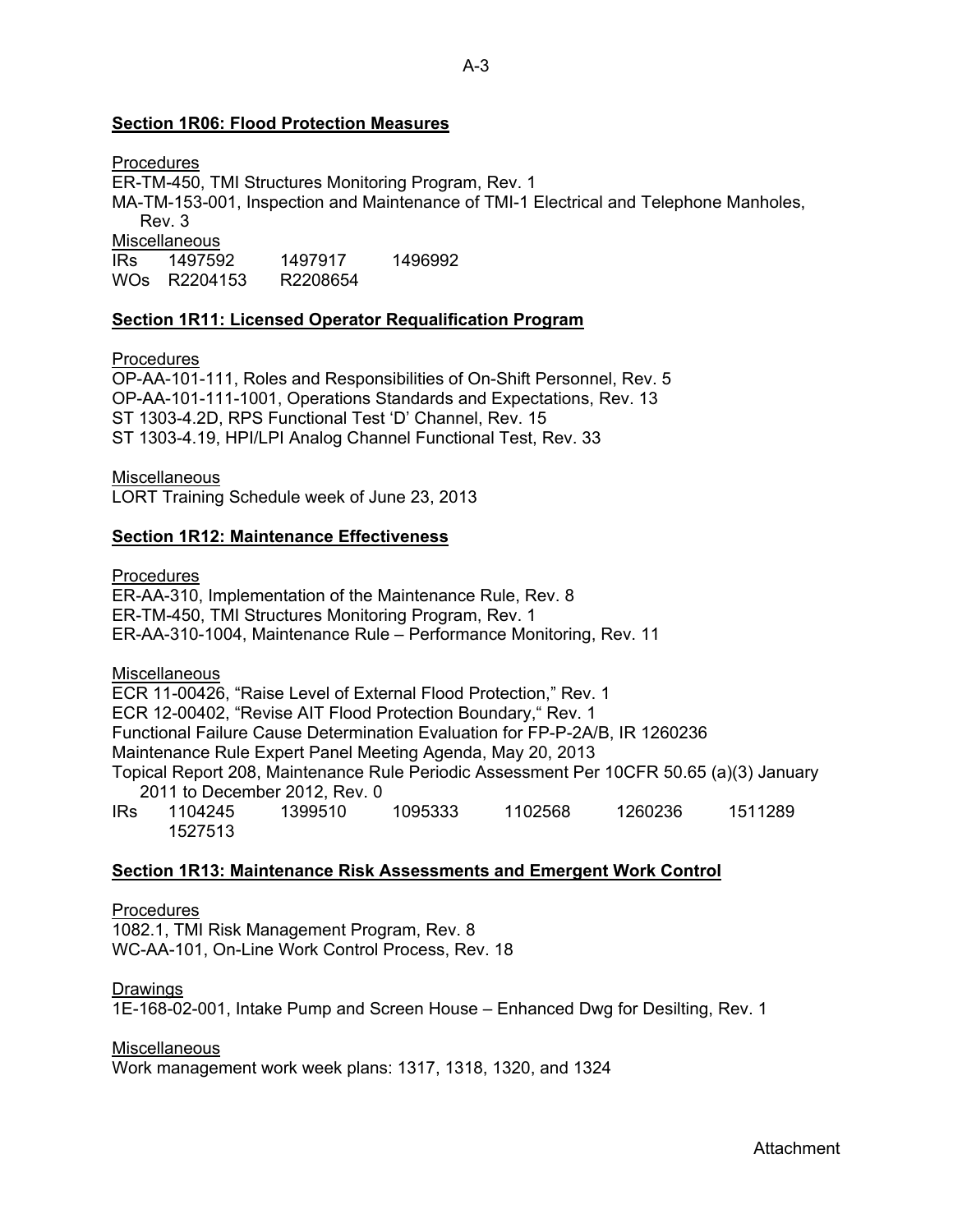# **Section 1R06: Flood Protection Measures**

**Procedures** ER-TM-450, TMI Structures Monitoring Program, Rev. 1 MA-TM-153-001, Inspection and Maintenance of TMI-1 Electrical and Telephone Manholes, Rev. 3 **Miscellaneous** IRs 1497592 1497917 1496992 WOs R2204153 R2208654

# **Section 1R11: Licensed Operator Requalification Program**

# **Procedures**

OP-AA-101-111, Roles and Responsibilities of On-Shift Personnel, Rev. 5 OP-AA-101-111-1001, Operations Standards and Expectations, Rev. 13 ST 1303-4.2D, RPS Functional Test 'D' Channel, Rev. 15 ST 1303-4.19, HPI/LPI Analog Channel Functional Test, Rev. 33

# Miscellaneous

LORT Training Schedule week of June 23, 2013

# **Section 1R12: Maintenance Effectiveness**

**Procedures** 

ER-AA-310, Implementation of the Maintenance Rule, Rev. 8 ER-TM-450, TMI Structures Monitoring Program, Rev. 1 ER-AA-310-1004, Maintenance Rule – Performance Monitoring, Rev. 11

Miscellaneous

ECR 11-00426, "Raise Level of External Flood Protection," Rev. 1 ECR 12-00402, "Revise AIT Flood Protection Boundary," Rev. 1 Functional Failure Cause Determination Evaluation for FP-P-2A/B, IR 1260236 Maintenance Rule Expert Panel Meeting Agenda, May 20, 2013 Topical Report 208, Maintenance Rule Periodic Assessment Per 10CFR 50.65 (a)(3) January 2011 to December 2012, Rev. 0 IRs 1104245 1399510 1095333 1102568 1260236 1511289 1527513

# **Section 1R13: Maintenance Risk Assessments and Emergent Work Control**

Procedures 1082.1, TMI Risk Management Program, Rev. 8 WC-AA-101, On-Line Work Control Process, Rev. 18

Drawings

1E-168-02-001, Intake Pump and Screen House – Enhanced Dwg for Desilting, Rev. 1

# **Miscellaneous**

Work management work week plans: 1317, 1318, 1320, and 1324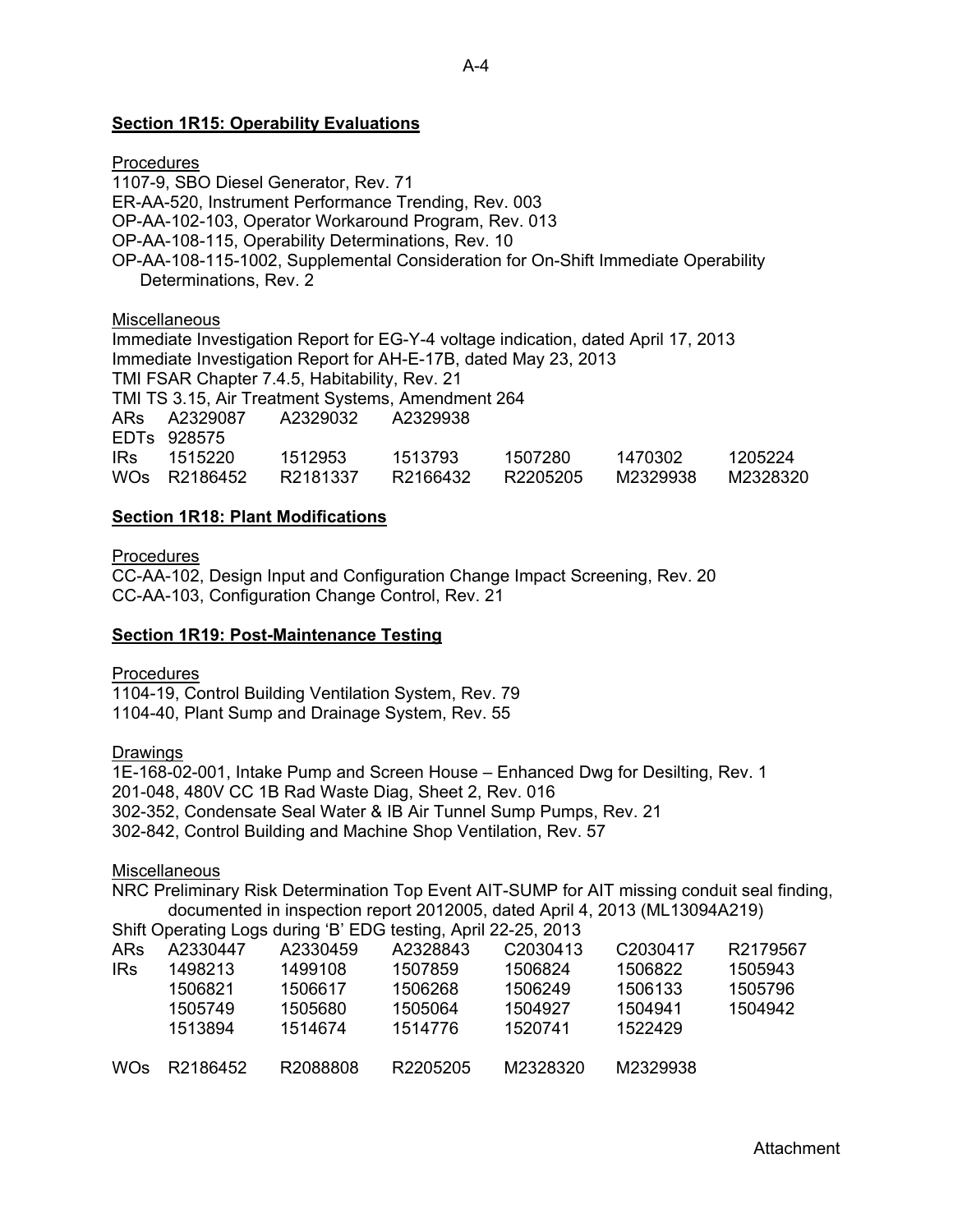# **Section 1R15: Operability Evaluations**

**Procedures** 

1107-9, SBO Diesel Generator, Rev. 71 ER-AA-520, Instrument Performance Trending, Rev. 003 OP-AA-102-103, Operator Workaround Program, Rev. 013 OP-AA-108-115, Operability Determinations, Rev. 10 OP-AA-108-115-1002, Supplemental Consideration for On-Shift Immediate Operability Determinations, Rev. 2

## **Miscellaneous**

Immediate Investigation Report for EG-Y-4 voltage indication, dated April 17, 2013 Immediate Investigation Report for AH-E-17B, dated May 23, 2013 TMI FSAR Chapter 7.4.5, Habitability, Rev. 21 TMI TS 3.15, Air Treatment Systems, Amendment 264 ARs A2329087 A2329032 A2329938 EDTs 928575 IRs 1515220 1512953 1513793 1507280 1470302 1205224 WOs R2186452 R2181337 R2166432 R2205205 M2329938 M2328320

# **Section 1R18: Plant Modifications**

**Procedures** 

CC-AA-102, Design Input and Configuration Change Impact Screening, Rev. 20 CC-AA-103, Configuration Change Control, Rev. 21

## **Section 1R19: Post-Maintenance Testing**

**Procedures** 

1104-19, Control Building Ventilation System, Rev. 79 1104-40, Plant Sump and Drainage System, Rev. 55

Drawings

1E-168-02-001, Intake Pump and Screen House – Enhanced Dwg for Desilting, Rev. 1 201-048, 480V CC 1B Rad Waste Diag, Sheet 2, Rev. 016 302-352, Condensate Seal Water & IB Air Tunnel Sump Pumps, Rev. 21 302-842, Control Building and Machine Shop Ventilation, Rev. 57

Miscellaneous

NRC Preliminary Risk Determination Top Event AIT-SUMP for AIT missing conduit seal finding, documented in inspection report 2012005, dated April 4, 2013 (ML13094A219)

|  |  | Shift Operating Logs during 'B' EDG testing, April 22-25, 2013 |  |
|--|--|----------------------------------------------------------------|--|
|  |  |                                                                |  |

| ARs             | A2330447 | A2330459 | A2328843 | C <sub>2030413</sub> | C2030417 | R2179567 |
|-----------------|----------|----------|----------|----------------------|----------|----------|
| <b>IRs</b>      | 1498213  | 1499108  | 1507859  | 1506824              | 1506822  | 1505943  |
|                 | 1506821  | 1506617  | 1506268  | 1506249              | 1506133  | 1505796  |
|                 | 1505749  | 1505680  | 1505064  | 1504927              | 1504941  | 1504942  |
|                 | 1513894  | 1514674  | 1514776  | 1520741              | 1522429  |          |
| WO <sub>S</sub> | R2186452 | R2088808 | R2205205 | M2328320             | M2329938 |          |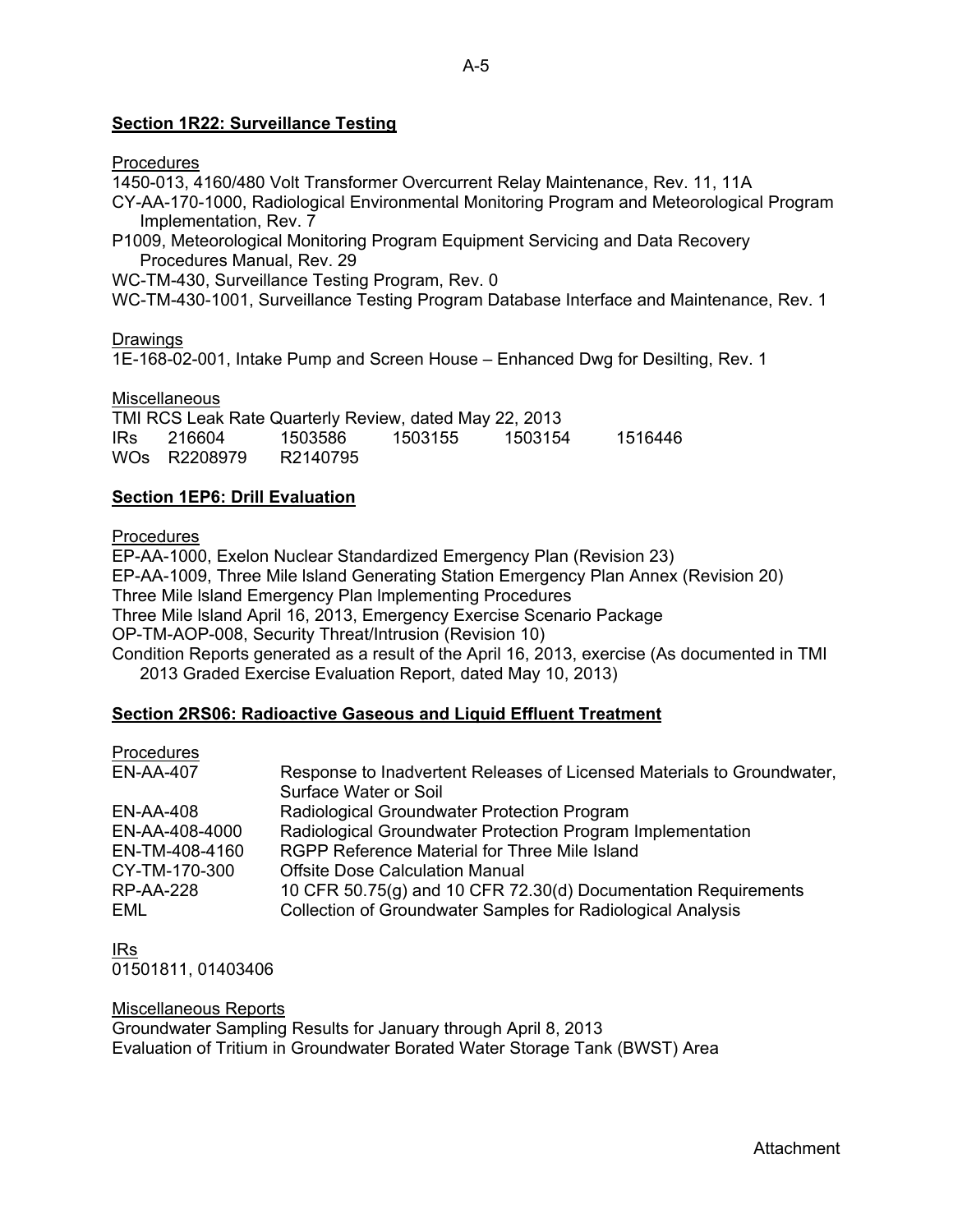# **Section 1R22: Surveillance Testing**

#### **Procedures**

1450-013, 4160/480 Volt Transformer Overcurrent Relay Maintenance, Rev. 11, 11A

- CY-AA-170-1000, Radiological Environmental Monitoring Program and Meteorological Program Implementation, Rev. 7
- P1009, Meteorological Monitoring Program Equipment Servicing and Data Recovery Procedures Manual, Rev. 29

WC-TM-430, Surveillance Testing Program, Rev. 0

WC-TM-430-1001, Surveillance Testing Program Database Interface and Maintenance, Rev. 1

## Drawings

1E-168-02-001, Intake Pump and Screen House – Enhanced Dwg for Desilting, Rev. 1

## **Miscellaneous**

| TMI RCS Leak Rate Quarterly Review, dated May 22, 2013 |              |          |         |         |         |  |  |
|--------------------------------------------------------|--------------|----------|---------|---------|---------|--|--|
| IRs i                                                  | 216604       | 1503586  | 1503155 | 1503154 | 1516446 |  |  |
|                                                        | WOS R2208979 | R2140795 |         |         |         |  |  |

# **Section 1EP6: Drill Evaluation**

## **Procedures**

EP-AA-1000, Exelon Nuclear Standardized Emergency Plan (Revision 23) EP-AA-1009, Three Mile lsland Generating Station Emergency Plan Annex (Revision 20) Three Mile lsland Emergency Plan lmplementing Procedures Three Mile lsland April 16, 2013, Emergency Exercise Scenario Package OP-TM-AOP-008, Security Threat/Intrusion (Revision 10) Condition Reports generated as a result of the April 16, 2013, exercise (As documented in TMI 2013 Graded Exercise Evaluation Report, dated May 10, 2013)

## **Section 2RS06: Radioactive Gaseous and Liquid Effluent Treatment**

| Response to Inadvertent Releases of Licensed Materials to Groundwater, |
|------------------------------------------------------------------------|
|                                                                        |
|                                                                        |
|                                                                        |
|                                                                        |
|                                                                        |
| 10 CFR 50.75(g) and 10 CFR 72.30(d) Documentation Requirements         |
|                                                                        |
|                                                                        |

IRs 01501811, 01403406

## Miscellaneous Reports

Groundwater Sampling Results for January through April 8, 2013 Evaluation of Tritium in Groundwater Borated Water Storage Tank (BWST) Area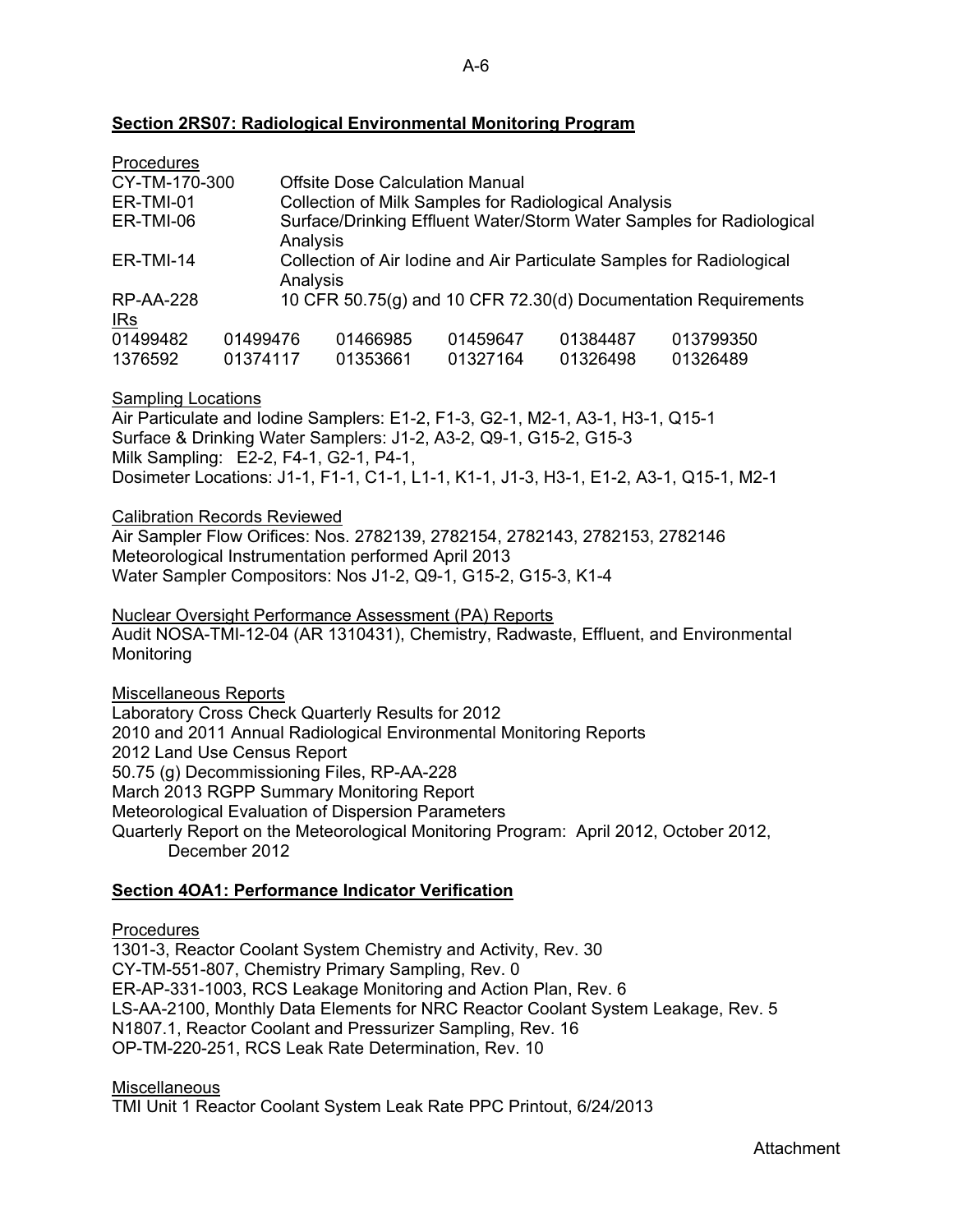## **Section 2RS07: Radiological Environmental Monitoring Program**

| Procedures                                                                                     |          |                                                                                  |                                                      |          |                                                                |  |  |  |
|------------------------------------------------------------------------------------------------|----------|----------------------------------------------------------------------------------|------------------------------------------------------|----------|----------------------------------------------------------------|--|--|--|
| CY-TM-170-300<br><b>Offsite Dose Calculation Manual</b>                                        |          |                                                                                  |                                                      |          |                                                                |  |  |  |
| ER-TMI-01                                                                                      |          |                                                                                  | Collection of Milk Samples for Radiological Analysis |          |                                                                |  |  |  |
| ER-TMI-06                                                                                      |          | Surface/Drinking Effluent Water/Storm Water Samples for Radiological<br>Analysis |                                                      |          |                                                                |  |  |  |
| Collection of Air Iodine and Air Particulate Samples for Radiological<br>ER-TMI-14<br>Analysis |          |                                                                                  |                                                      |          |                                                                |  |  |  |
| <b>RP-AA-228</b>                                                                               |          |                                                                                  |                                                      |          | 10 CFR 50.75(g) and 10 CFR 72.30(d) Documentation Requirements |  |  |  |
| $IRs$                                                                                          |          |                                                                                  |                                                      |          |                                                                |  |  |  |
| 01499482                                                                                       | 01499476 | 01466985                                                                         | 01459647                                             | 01384487 | 013799350                                                      |  |  |  |
| 1376592                                                                                        | 01374117 | 01353661                                                                         | 01327164                                             | 01326498 | 01326489                                                       |  |  |  |

#### Sampling Locations

Air Particulate and Iodine Samplers: E1-2, F1-3, G2-1, M2-1, A3-1, H3-1, Q15-1 Surface & Drinking Water Samplers: J1-2, A3-2, Q9-1, G15-2, G15-3 Milk Sampling: E2-2, F4-1, G2-1, P4-1, Dosimeter Locations: J1-1, F1-1, C1-1, L1-1, K1-1, J1-3, H3-1, E1-2, A3-1, Q15-1, M2-1

#### Calibration Records Reviewed

Air Sampler Flow Orifices: Nos. 2782139, 2782154, 2782143, 2782153, 2782146 Meteorological Instrumentation performed April 2013 Water Sampler Compositors: Nos J1-2, Q9-1, G15-2, G15-3, K1-4

Nuclear Oversight Performance Assessment (PA) Reports Audit NOSA-TMI-12-04 (AR 1310431), Chemistry, Radwaste, Effluent, and Environmental Monitoring

Miscellaneous Reports

Laboratory Cross Check Quarterly Results for 2012 2010 and 2011 Annual Radiological Environmental Monitoring Reports 2012 Land Use Census Report 50.75 (g) Decommissioning Files, RP-AA-228 March 2013 RGPP Summary Monitoring Report Meteorological Evaluation of Dispersion Parameters Quarterly Report on the Meteorological Monitoring Program: April 2012, October 2012,

December 2012

## **Section 4OA1: Performance Indicator Verification**

**Procedures** 

1301-3, Reactor Coolant System Chemistry and Activity, Rev. 30 CY-TM-551-807, Chemistry Primary Sampling, Rev. 0 ER-AP-331-1003, RCS Leakage Monitoring and Action Plan, Rev. 6 LS-AA-2100, Monthly Data Elements for NRC Reactor Coolant System Leakage, Rev. 5 N1807.1, Reactor Coolant and Pressurizer Sampling, Rev. 16 OP-TM-220-251, RCS Leak Rate Determination, Rev. 10

**Miscellaneous** 

TMI Unit 1 Reactor Coolant System Leak Rate PPC Printout, 6/24/2013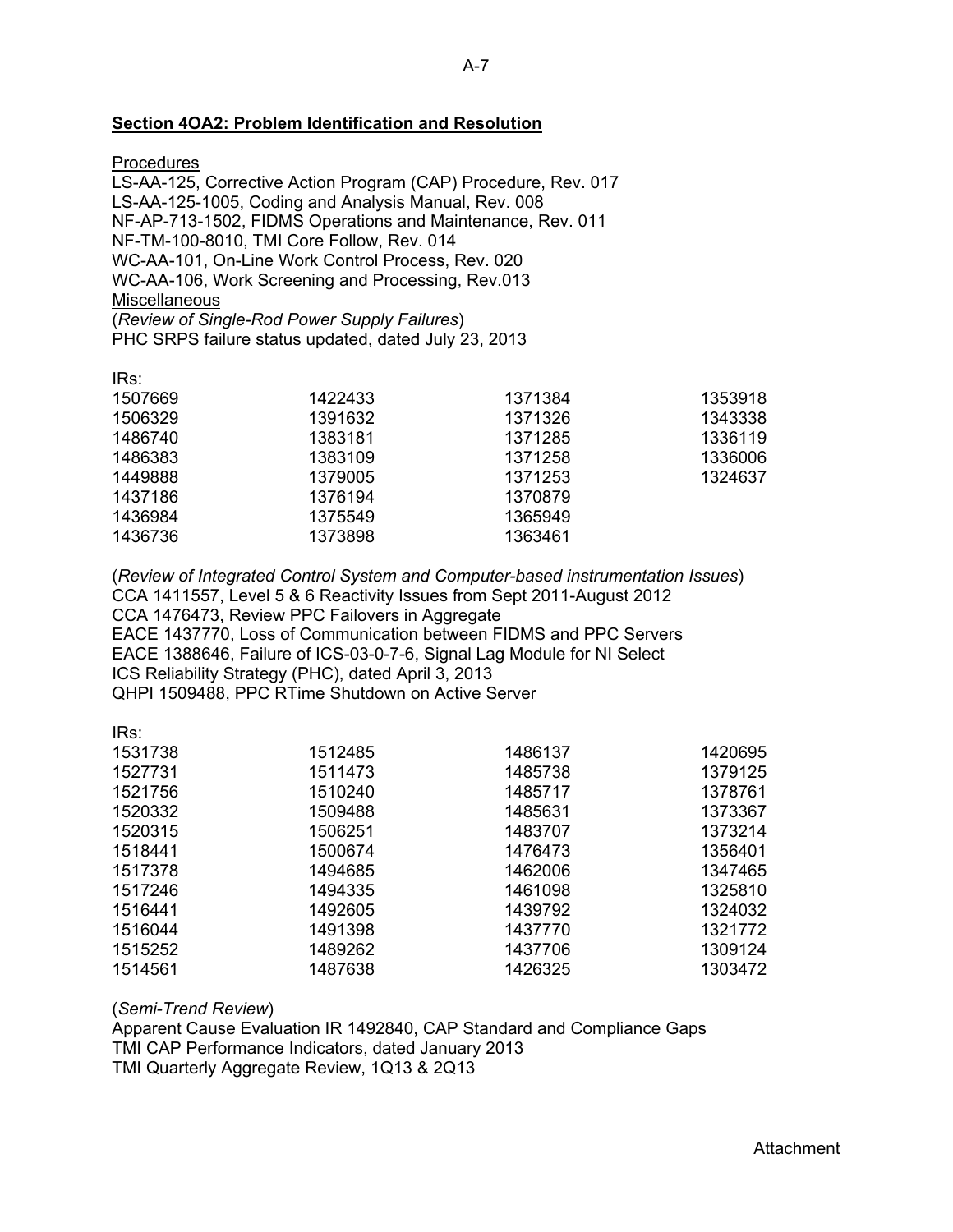## **Section 4OA2: Problem Identification and Resolution**

**Procedures** 

LS-AA-125, Corrective Action Program (CAP) Procedure, Rev. 017 LS-AA-125-1005, Coding and Analysis Manual, Rev. 008 NF-AP-713-1502, FIDMS Operations and Maintenance, Rev. 011 NF-TM-100-8010, TMI Core Follow, Rev. 014 WC-AA-101, On-Line Work Control Process, Rev. 020 WC-AA-106, Work Screening and Processing, Rev.013 **Miscellaneous** (*Review of Single-Rod Power Supply Failures*) PHC SRPS failure status updated, dated July 23, 2013 IRs:

| 1507669 | 1422433 | 1371384 | 1353918 |
|---------|---------|---------|---------|
| 1506329 | 1391632 | 1371326 | 1343338 |
| 1486740 | 1383181 | 1371285 | 1336119 |
| 1486383 | 1383109 | 1371258 | 1336006 |
| 1449888 | 1379005 | 1371253 | 1324637 |
| 1437186 | 1376194 | 1370879 |         |
| 1436984 | 1375549 | 1365949 |         |
| 1436736 | 1373898 | 1363461 |         |

(*Review of Integrated Control System and Computer-based instrumentation Issues*) CCA 1411557, Level 5 & 6 Reactivity Issues from Sept 2011-August 2012 CCA 1476473, Review PPC Failovers in Aggregate EACE 1437770, Loss of Communication between FIDMS and PPC Servers EACE 1388646, Failure of ICS-03-0-7-6, Signal Lag Module for NI Select ICS Reliability Strategy (PHC), dated April 3, 2013 QHPI 1509488, PPC RTime Shutdown on Active Server

| IRs:    |         |         |         |
|---------|---------|---------|---------|
| 1531738 | 1512485 | 1486137 | 1420695 |
| 1527731 | 1511473 | 1485738 | 1379125 |
| 1521756 | 1510240 | 1485717 | 1378761 |
| 1520332 | 1509488 | 1485631 | 1373367 |
| 1520315 | 1506251 | 1483707 | 1373214 |
| 1518441 | 1500674 | 1476473 | 1356401 |
| 1517378 | 1494685 | 1462006 | 1347465 |
| 1517246 | 1494335 | 1461098 | 1325810 |
| 1516441 | 1492605 | 1439792 | 1324032 |
| 1516044 | 1491398 | 1437770 | 1321772 |
| 1515252 | 1489262 | 1437706 | 1309124 |
| 1514561 | 1487638 | 1426325 | 1303472 |

(*Semi-Trend Review*) Apparent Cause Evaluation IR 1492840, CAP Standard and Compliance Gaps TMI CAP Performance Indicators, dated January 2013 TMI Quarterly Aggregate Review, 1Q13 & 2Q13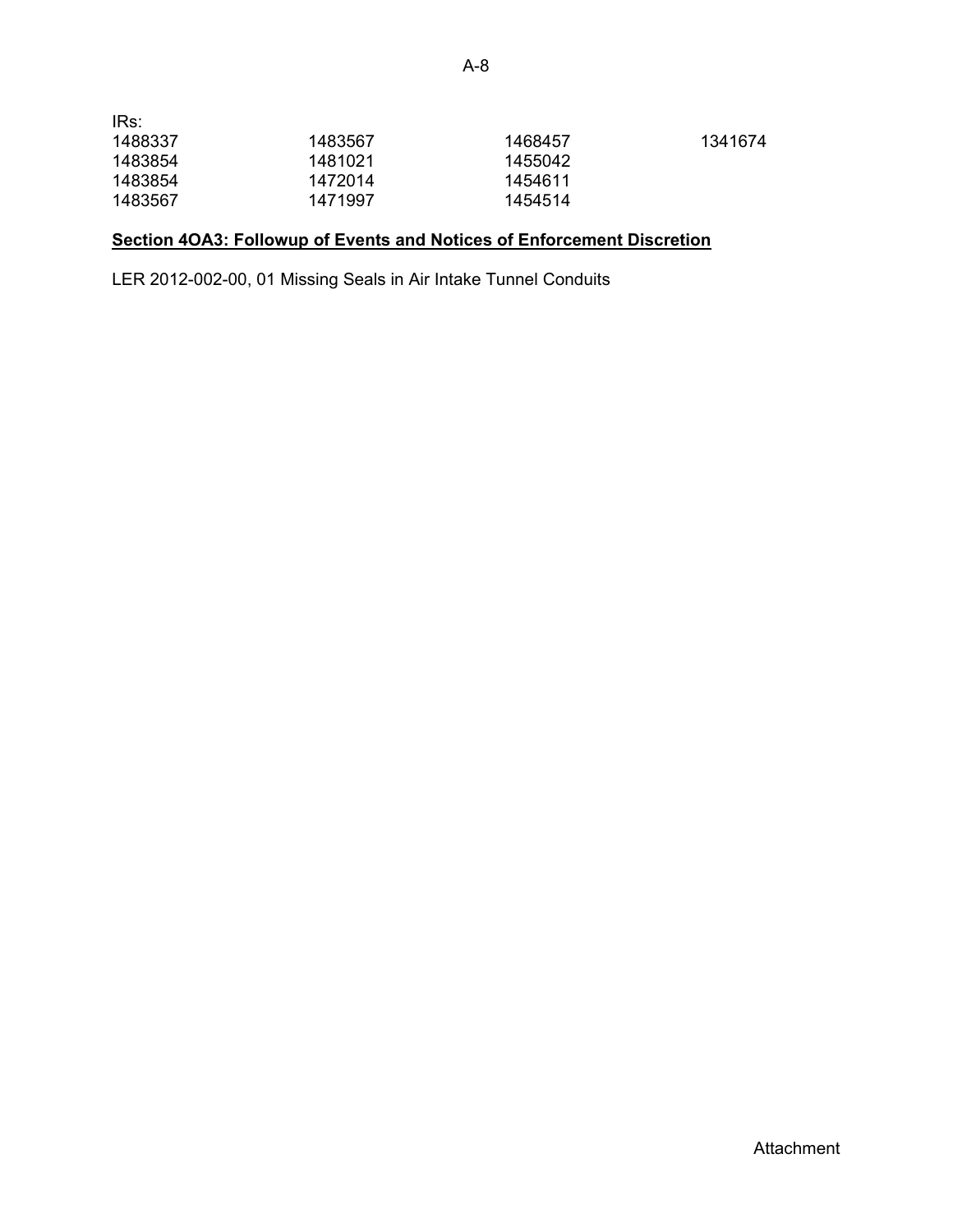| IRs:    |         |         |         |
|---------|---------|---------|---------|
| 1488337 | 1483567 | 1468457 | 1341674 |
| 1483854 | 1481021 | 1455042 |         |
| 1483854 | 1472014 | 1454611 |         |
| 1483567 | 1471997 | 1454514 |         |

# **Section 4OA3: Followup of Events and Notices of Enforcement Discretion**

LER 2012-002-00, 01 Missing Seals in Air Intake Tunnel Conduits